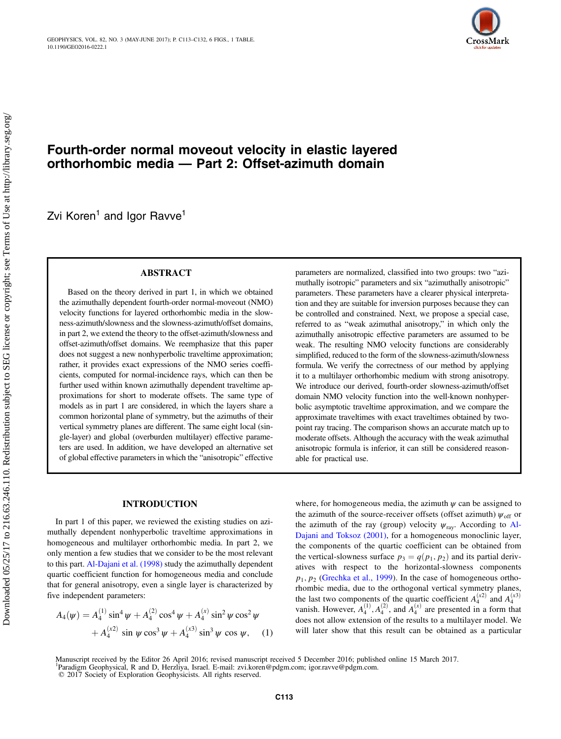

# Fourth-order normal moveout velocity in elastic layered orthorhombic media — Part 2: Offset-azimuth domain

Zvi Koren<sup>1</sup> and Igor Ravve<sup>1</sup>

## ABSTRACT

Based on the theory derived in part 1, in which we obtained the azimuthally dependent fourth-order normal-moveout (NMO) velocity functions for layered orthorhombic media in the slowness-azimuth/slowness and the slowness-azimuth/offset domains, in part 2, we extend the theory to the offset-azimuth/slowness and offset-azimuth/offset domains. We reemphasize that this paper does not suggest a new nonhyperbolic traveltime approximation; rather, it provides exact expressions of the NMO series coefficients, computed for normal-incidence rays, which can then be further used within known azimuthally dependent traveltime approximations for short to moderate offsets. The same type of models as in part 1 are considered, in which the layers share a common horizontal plane of symmetry, but the azimuths of their vertical symmetry planes are different. The same eight local (single-layer) and global (overburden multilayer) effective parameters are used. In addition, we have developed an alternative set of global effective parameters in which the "anisotropic" effective parameters are normalized, classified into two groups: two "azimuthally isotropic" parameters and six "azimuthally anisotropic" parameters. These parameters have a clearer physical interpretation and they are suitable for inversion purposes because they can be controlled and constrained. Next, we propose a special case, referred to as "weak azimuthal anisotropy," in which only the azimuthally anisotropic effective parameters are assumed to be weak. The resulting NMO velocity functions are considerably simplified, reduced to the form of the slowness-azimuth/slowness formula. We verify the correctness of our method by applying it to a multilayer orthorhombic medium with strong anisotropy. We introduce our derived, fourth-order slowness-azimuth/offset domain NMO velocity function into the well-known nonhyperbolic asymptotic traveltime approximation, and we compare the approximate traveltimes with exact traveltimes obtained by twopoint ray tracing. The comparison shows an accurate match up to moderate offsets. Although the accuracy with the weak azimuthal anisotropic formula is inferior, it can still be considered reasonable for practical use.

#### INTRODUCTION

In part 1 of this paper, we reviewed the existing studies on azimuthally dependent nonhyperbolic traveltime approximations in homogeneous and multilayer orthorhombic media. In part 2, we only mention a few studies that we consider to be the most relevant to this part. [Al-Dajani et al. \(1998\)](#page-19-0) study the azimuthally dependent quartic coefficient function for homogeneous media and conclude that for general anisotropy, even a single layer is characterized by five independent parameters:

$$
A_4(\psi) = A_4^{(1)} \sin^4 \psi + A_4^{(2)} \cos^4 \psi + A_4^{(x)} \sin^2 \psi \cos^2 \psi
$$
  
+  $A_4^{(x2)} \sin \psi \cos^3 \psi + A_4^{(x3)} \sin^3 \psi \cos \psi$ , (1)

where, for homogeneous media, the azimuth  $\psi$  can be assigned to the azimuth of the source-receiver offsets (offset azimuth)  $\psi_{\text{off}}$  or the azimuth of the ray (group) velocity  $\psi_{\text{ray}}$ . According to [Al-](#page-19-0)[Dajani and Toksoz \(2001\)](#page-19-0), for a homogeneous monoclinic layer, the components of the quartic coefficient can be obtained from the vertical-slowness surface  $p_3 = q(p_1, p_2)$  and its partial derivatives with respect to the horizontal-slowness components  $p_1, p_2$  ([Grechka et al., 1999\)](#page-19-0). In the case of homogeneous orthorhombic media, due to the orthogonal vertical symmetry planes, the last two components of the quartic coefficient  $A_4^{(x_2)}$  and  $A_4^{(x_3)}$ vanish. However,  $A_4^{(1)}, A_4^{(2)}$ , and  $A_4^{(x)}$  are presented in a form that does not allow extension of the results to a multilayer model. We will later show that this result can be obtained as a particular

© 2017 Society of Exploration Geophysicists. All rights reserved.

Manuscript received by the Editor 26 April 2016; revised manuscript received 5 December 2016; published online 15 March 2017. <sup>1</sup>Paradigm Geophysical, R and D, Herzliya, Israel. E-mail: zvi.koren@pdgm.com; igor.ravve@pdgm.com.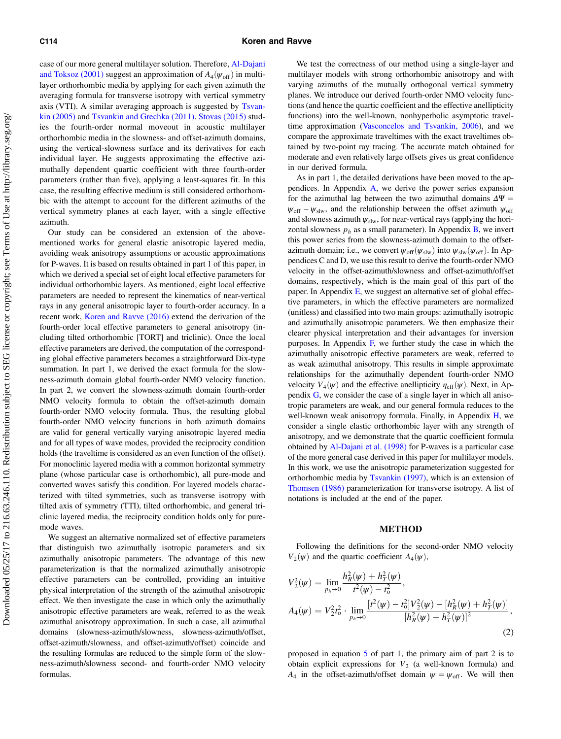<span id="page-1-0"></span>case of our more general multilayer solution. Therefore, [Al-Dajani](#page-19-0) [and Toksoz \(2001\)](#page-19-0) suggest an approximation of  $A_4(\psi_{\text{off}})$  in multilayer orthorhombic media by applying for each given azimuth the averaging formula for transverse isotropy with vertical symmetry axis (VTI). A similar averaging approach is suggested by [Tsvan](#page-19-0)[kin \(2005\)](#page-19-0) and [Tsvankin and Grechka \(2011\).](#page-19-0) [Stovas \(2015\)](#page-19-0) studies the fourth-order normal moveout in acoustic multilayer orthorhombic media in the slowness- and offset-azimuth domains, using the vertical-slowness surface and its derivatives for each individual layer. He suggests approximating the effective azimuthally dependent quartic coefficient with three fourth-order parameters (rather than five), applying a least-squares fit. In this case, the resulting effective medium is still considered orthorhombic with the attempt to account for the different azimuths of the vertical symmetry planes at each layer, with a single effective azimuth.

Our study can be considered an extension of the abovementioned works for general elastic anisotropic layered media, avoiding weak anisotropy assumptions or acoustic approximations for P-waves. It is based on results obtained in part 1 of this paper, in which we derived a special set of eight local effective parameters for individual orthorhombic layers. As mentioned, eight local effective parameters are needed to represent the kinematics of near-vertical rays in any general anisotropic layer to fourth-order accuracy. In a recent work, [Koren and Ravve \(2016\)](#page-19-0) extend the derivation of the fourth-order local effective parameters to general anisotropy (including tilted orthorhombic [TORT] and triclinic). Once the local effective parameters are derived, the computation of the corresponding global effective parameters becomes a straightforward Dix-type summation. In part 1, we derived the exact formula for the slowness-azimuth domain global fourth-order NMO velocity function. In part 2, we convert the slowness-azimuth domain fourth-order NMO velocity formula to obtain the offset-azimuth domain fourth-order NMO velocity formula. Thus, the resulting global fourth-order NMO velocity functions in both azimuth domains are valid for general vertically varying anisotropic layered media and for all types of wave modes, provided the reciprocity condition holds (the traveltime is considered as an even function of the offset). For monoclinic layered media with a common horizontal symmetry plane (whose particular case is orthorhombic), all pure-mode and converted waves satisfy this condition. For layered models characterized with tilted symmetries, such as transverse isotropy with tilted axis of symmetry (TTI), tilted orthorhombic, and general triclinic layered media, the reciprocity condition holds only for puremode waves.

We suggest an alternative normalized set of effective parameters that distinguish two azimuthally isotropic parameters and six azimuthally anisotropic parameters. The advantage of this new parameterization is that the normalized azimuthally anisotropic effective parameters can be controlled, providing an intuitive physical interpretation of the strength of the azimuthal anisotropic effect. We then investigate the case in which only the azimuthally anisotropic effective parameters are weak, referred to as the weak azimuthal anisotropy approximation. In such a case, all azimuthal domains (slowness-azimuth/slowness, slowness-azimuth/offset, offset-azimuth/slowness, and offset-azimuth/offset) coincide and the resulting formulas are reduced to the simple form of the slowness-azimuth/slowness second- and fourth-order NMO velocity formulas.

We test the correctness of our method using a single-layer and multilayer models with strong orthorhombic anisotropy and with varying azimuths of the mutually orthogonal vertical symmetry planes. We introduce our derived fourth-order NMO velocity functions (and hence the quartic coefficient and the effective anellipticity functions) into the well-known, nonhyperbolic asymptotic traveltime approximation ([Vasconcelos and Tsvankin, 2006\)](#page-19-0), and we compare the approximate traveltimes with the exact traveltimes obtained by two-point ray tracing. The accurate match obtained for moderate and even relatively large offsets gives us great confidence in our derived formula.

As in part 1, the detailed derivations have been moved to the appendices. In Appendix [A](#page-8-0), we derive the power series expansion for the azimuthal lag between the two azimuthal domains  $\Delta \Psi =$  $\psi_{\text{off}} - \psi_{\text{slw}}$ , and the relationship between the offset azimuth  $\psi_{\text{off}}$ and slowness azimuth  $\psi_{\text{slw}}$ , for near-vertical rays (applying the horizontal slowness  $p_h$  as a small parameter). In Appendix [B,](#page-8-0) we invert this power series from the slowness-azimuth domain to the offsetazimuth domain; i.e., we convert  $\psi_{off}(\psi_{slw})$  into  $\psi_{slw}(\psi_{off})$ . In Appendices C and D, we use this result to derive the fourth-order NMO velocity in the offset-azimuth/slowness and offset-azimuth/offset domains, respectively, which is the main goal of this part of the paper. In Appendix  $E$ , we suggest an alternative set of global effective parameters, in which the effective parameters are normalized (unitless) and classified into two main groups: azimuthally isotropic and azimuthally anisotropic parameters. We then emphasize their clearer physical interpretation and their advantages for inversion purposes. In Appendix  $F$ , we further study the case in which the azimuthally anisotropic effective parameters are weak, referred to as weak azimuthal anisotropy. This results in simple approximate relationships for the azimuthally dependent fourth-order NMO velocity  $V_4(\psi)$  and the effective anellipticity  $\eta_{\text{eff}}(\psi)$ . Next, in Appendix [G,](#page-15-0) we consider the case of a single layer in which all anisotropic parameters are weak, and our general formula reduces to the well-known weak anisotropy formula. Finally, in Appendix [H,](#page-15-0) we consider a single elastic orthorhombic layer with any strength of anisotropy, and we demonstrate that the quartic coefficient formula obtained by [Al-Dajani et al. \(1998\)](#page-19-0) for P-waves is a particular case of the more general case derived in this paper for multilayer models. In this work, we use the anisotropic parameterization suggested for orthorhombic media by [Tsvankin \(1997\)](#page-19-0), which is an extension of [Thomsen \(1986\)](#page-19-0) parameterization for transverse isotropy. A list of notations is included at the end of the paper.

#### METHOD

Following the definitions for the second-order NMO velocity  $V_2(\psi)$  and the quartic coefficient  $A_4(\psi)$ ,

$$
V_2^2(\psi) = \lim_{p_h \to 0} \frac{h_R^2(\psi) + h_T^2(\psi)}{t^2(\psi) - t_0^2},
$$
  
\n
$$
A_4(\psi) = V_2^2 t_0^2 \cdot \lim_{p_h \to 0} \frac{[t^2(\psi) - t_0^2]V_2^2(\psi) - [h_R^2(\psi) + h_T^2(\psi)]}{[h_R^2(\psi) + h_T^2(\psi)]^2},
$$
\n(2)

proposed in equation [5](#page-2-0) of part 1, the primary aim of part 2 is to obtain explicit expressions for  $V_2$  (a well-known formula) and  $A_4$  in the offset-azimuth/offset domain  $\psi = \psi_{\text{off}}$ . We will then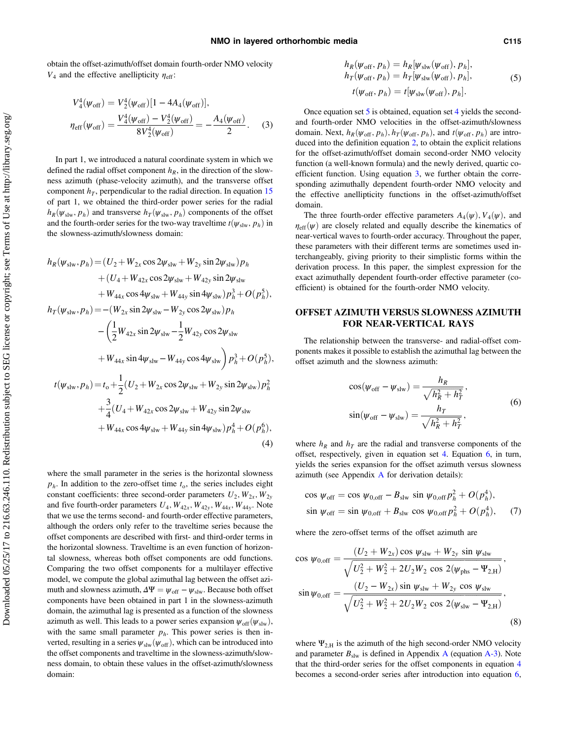<span id="page-2-0"></span>obtain the offset-azimuth/offset domain fourth-order NMO velocity  $V_4$  and the effective anellipticity  $\eta_{\text{eff}}$ :

$$
V_4^4(\psi_{\text{off}}) = V_2^4(\psi_{\text{off}})[1 - 4A_4(\psi_{\text{off}})],
$$
  

$$
\eta_{\text{eff}}(\psi_{\text{off}}) = \frac{V_4^4(\psi_{\text{off}}) - V_2^4(\psi_{\text{off}})}{8V_2^4(\psi_{\text{off}})} = -\frac{A_4(\psi_{\text{off}})}{2}.
$$
 (3)

In part 1, we introduced a natural coordinate system in which we defined the radial offset component  $h_R$ , in the direction of the slowness azimuth (phase-velocity azimuth), and the transverse offset component  $h_T$ , perpendicular to the radial direction. In equation [15](#page-3-0) of part 1, we obtained the third-order power series for the radial  $h_R(\psi_{\text{slw}}, p_h)$  and transverse  $h_T(\psi_{\text{slw}}, p_h)$  components of the offset and the fourth-order series for the two-way travel time  $t(\psi_{\text{slw}}, p_h)$  in the slowness-azimuth/slowness domain:

$$
h_R(\psi_{\text{slw}}, p_h) = (U_2 + W_{2x} \cos 2\psi_{\text{slw}} + W_{2y} \sin 2\psi_{\text{slw}}) p_h
$$
  
+  $(U_4 + W_{42x} \cos 2\psi_{\text{slw}} + W_{42y} \sin 2\psi_{\text{slw}} + W_{42y} \sin 2\psi_{\text{slw}} + W_{44x} \cos 4\psi_{\text{slw}} + W_{44y} \sin 4\psi_{\text{slw}}) p_h^3 + O(p_h^5),$   

$$
h_T(\psi_{\text{slw}}, p_h) = -(W_{2x} \sin 2\psi_{\text{slw}} - W_{2y} \cos 2\psi_{\text{slw}}) p_h
$$
  
-  $\left(\frac{1}{2} W_{42x} \sin 2\psi_{\text{slw}} - \frac{1}{2} W_{42y} \cos 2\psi_{\text{slw}} + W_{44x} \sin 4\psi_{\text{slw}} - W_{44y} \cos 4\psi_{\text{slw}}\right) p_h^3 + O(p_h^5),$   

$$
t(\psi_{\text{slw}}, p_h) = t_0 + \frac{1}{2} (U_2 + W_{2x} \cos 2\psi_{\text{slw}} + W_{2y} \sin 2\psi_{\text{slw}}) p_h^2
$$
  
+  $\frac{3}{4} (U_4 + W_{42x} \cos 2\psi_{\text{slw}} + W_{42y} \sin 2\psi_{\text{slw}} + W_{44x} \cos 4\psi_{\text{slw}} + W_{44y} \sin 4\psi_{\text{slw}}) p_h^4 + O(p_h^6),$   
(4)

where the small parameter in the series is the horizontal slowness  $p_h$ . In addition to the zero-offset time  $t_0$ , the series includes eight constant coefficients: three second-order parameters  $U_2$ ,  $W_{2x}$ ,  $W_{2y}$ and five fourth-order parameters  $U_4$ ,  $W_{42x}$ ,  $W_{44y}$ ,  $W_{44y}$ . Note that we use the terms second- and fourth-order effective parameters, although the orders only refer to the traveltime series because the offset components are described with first- and third-order terms in the horizontal slowness. Traveltime is an even function of horizontal slowness, whereas both offset components are odd functions. Comparing the two offset components for a multilayer effective model, we compute the global azimuthal lag between the offset azimuth and slowness azimuth,  $\Delta \Psi = \psi_{\text{off}} - \psi_{\text{slw}}$ . Because both offset components have been obtained in part 1 in the slowness-azimuth domain, the azimuthal lag is presented as a function of the slowness azimuth as well. This leads to a power series expansion  $\psi_{\text{off}}(\psi_{\text{slw}})$ , with the same small parameter  $p<sub>h</sub>$ . This power series is then inverted, resulting in a series  $\psi_{\text{slw}}(\psi_{\text{off}})$ , which can be introduced into the offset components and traveltime in the slowness-azimuth/slowness domain, to obtain these values in the offset-azimuth/slowness domain:

$$
h_R(\psi_{\text{off}}, p_h) = h_R[\psi_{\text{slw}}(\psi_{\text{off}}), p_h],
$$
  
\n
$$
h_T(\psi_{\text{off}}, p_h) = h_T[\psi_{\text{slw}}(\psi_{\text{off}}), p_h],
$$
  
\n
$$
t(\psi_{\text{off}}, p_h) = t[\psi_{\text{slw}}(\psi_{\text{off}}), p_h].
$$
\n(5)

Once equation set 5 is obtained, equation set 4 yields the secondand fourth-order NMO velocities in the offset-azimuth/slowness domain. Next,  $h_R(\psi_{\text{off}}, p_h)$ ,  $h_T(\psi_{\text{off}}, p_h)$ , and  $t(\psi_{\text{off}}, p_h)$  are introduced into the definition equation [2,](#page-1-0) to obtain the explicit relations for the offset-azimuth/offset domain second-order NMO velocity function (a well-known formula) and the newly derived, quartic coefficient function. Using equation 3, we further obtain the corresponding azimuthally dependent fourth-order NMO velocity and the effective anellipticity functions in the offset-azimuth/offset domain.

The three fourth-order effective parameters  $A_4(\psi)$ ,  $V_4(\psi)$ , and  $\eta_{\text{eff}}(\psi)$  are closely related and equally describe the kinematics of near-vertical waves to fourth-order accuracy. Throughout the paper, these parameters with their different terms are sometimes used interchangeably, giving priority to their simplistic forms within the derivation process. In this paper, the simplest expression for the exact azimuthally dependent fourth-order effective parameter (coefficient) is obtained for the fourth-order NMO velocity.

## OFFSET AZIMUTH VERSUS SLOWNESS AZIMUTH FOR NEAR-VERTICAL RAYS

The relationship between the transverse- and radial-offset components makes it possible to establish the azimuthal lag between the offset azimuth and the slowness azimuth:

$$
\cos(\psi_{\text{off}} - \psi_{\text{slw}}) = \frac{h_R}{\sqrt{h_R^2 + h_T^2}},
$$
  
\n
$$
\sin(\psi_{\text{off}} - \psi_{\text{slw}}) = \frac{h_T}{\sqrt{h_R^2 + h_T^2}},
$$
\n(6)

where  $h_R$  and  $h_T$  are the radial and transverse components of the offset, respectively, given in equation set 4. Equation 6, in turn, yields the series expansion for the offset azimuth versus slowness azimuth (see [A](#page-8-0)ppendix  $\overline{A}$  for derivation details):

$$
\cos \psi_{\text{off}} = \cos \psi_{0,\text{off}} - B_{\text{slw}} \sin \psi_{0,\text{off}} p_h^2 + O(p_h^4),
$$
  

$$
\sin \psi_{\text{off}} = \sin \psi_{0,\text{off}} + B_{\text{slw}} \cos \psi_{0,\text{off}} p_h^2 + O(p_h^4), \quad (7)
$$

where the zero-offset terms of the offset azimuth are

$$
\cos \psi_{0,\text{off}} = \frac{(U_2 + W_{2x}) \cos \psi_{\text{slw}} + W_{2y} \sin \psi_{\text{slw}}}{\sqrt{U_2^2 + W_2^2 + 2U_2 W_2 \cos 2(\psi_{\text{phs}} - \Psi_{2,\text{H}})}},
$$
  
\n
$$
\sin \psi_{0,\text{off}} = \frac{(U_2 - W_{2x}) \sin \psi_{\text{slw}} + W_{2y} \cos \psi_{\text{slw}}}{\sqrt{U_2^2 + W_2^2 + 2U_2 W_2 \cos 2(\psi_{\text{slw}} - \Psi_{2,\text{H}})}},
$$
\n(8)

where  $\Psi_{2,H}$  is the azimuth of the high second-order NMO velocity and parameter  $B_{\text{slw}}$  is defined in [A](#page-8-0)ppendix A (equation [A-3](#page-8-0)). Note that the third-order series for the offset components in equation 4 becomes a second-order series after introduction into equation 6,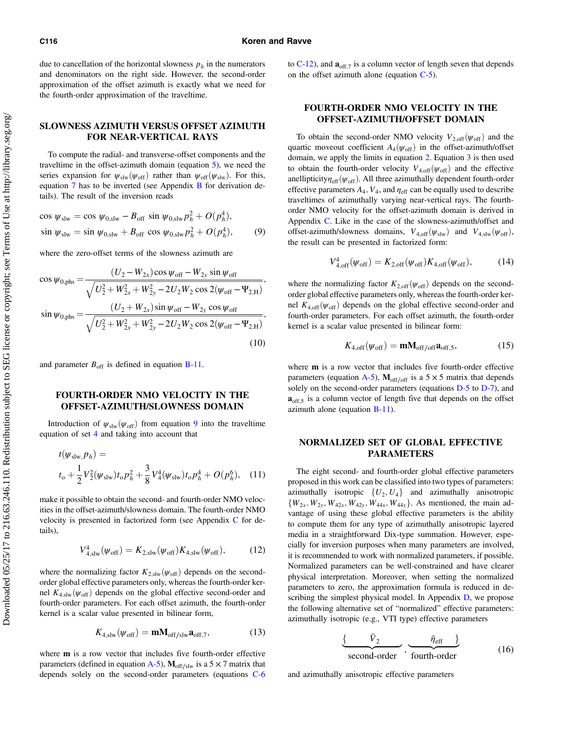<span id="page-3-0"></span>due to cancellation of the horizontal slowness  $p<sub>h</sub>$  in the numerators and denominators on the right side. However, the second-order approximation of the offset azimuth is exactly what we need for the fourth-order approximation of the traveltime.

## SLOWNESS AZIMUTH VERSUS OFFSET AZIMUTH FOR NEAR-VERTICAL RAYS

To compute the radial- and transverse-offset components and the traveltime in the offset-azimuth domain (equation [5\)](#page-2-0), we need the series expansion for  $\psi_{\text{slw}}(\psi_{\text{off}})$  rather than  $\psi_{\text{off}}(\psi_{\text{slw}})$ . For this, equation [7](#page-2-0) has to be inverted (see Appendix [B](#page-8-0) for derivation details). The result of the inversion reads

$$
\cos \psi_{\text{slw}} = \cos \psi_{0,\text{slw}} - B_{\text{off}} \sin \psi_{0,\text{slw}} p_h^2 + O(p_h^4),
$$
  
\n
$$
\sin \psi_{\text{slw}} = \sin \psi_{0,\text{slw}} + B_{\text{off}} \cos \psi_{0,\text{slw}} p_h^2 + O(p_h^4),
$$
 (9)

where the zero-offset terms of the slowness azimuth are

$$
\cos \psi_{0,\text{phs}} = \frac{(U_2 - W_{2x}) \cos \psi_{\text{off}} - W_{2y} \sin \psi_{\text{off}}}{\sqrt{U_2^2 + W_{2x}^2 + W_{2y}^2 - 2U_2 W_2 \cos 2(\psi_{\text{off}} - \Psi_{2,\text{H}})}},
$$
  
\n
$$
\sin \psi_{0,\text{phs}} = \frac{(U_2 + W_{2x}) \sin \psi_{\text{off}} - W_{2y} \cos \psi_{\text{off}}}{\sqrt{U_2^2 + W_{2x}^2 + W_{2y}^2 - 2U_2 W_2 \cos 2(\psi_{\text{off}} - \Psi_{2,\text{H}})}},
$$
\n(10)

and parameter  $B_{\text{off}}$  is defined in equation [B-11.](#page-9-0)

## FOURTH-ORDER NMO VELOCITY IN THE OFFSET-AZIMUTH/SLOWNESS DOMAIN

Introduction of  $\psi_{\text{slw}}(\psi_{\text{off}})$  from equation 9 into the traveltime equation of set [4](#page-2-0) and taking into account that

$$
t(\psi_{\text{slw},p_h}) =
$$
  
\n
$$
t_0 + \frac{1}{2}V_2^2(\psi_{\text{slw}})t_0p_h^2 + \frac{3}{8}V_4^4(\psi_{\text{slw}})t_0p_h^4 + O(p_h^6), \quad (11)
$$

make it possible to obtain the second- and fourth-order NMO velocities in the offset-azimuth/slowness domain. The fourth-order NMO velocity is presented in factorized form (see Appendix [C](#page-10-0) for details),

$$
V_{4,\text{slw}}^4(\psi_{\text{off}}) = K_{2,\text{slw}}(\psi_{\text{off}})K_{4,\text{slw}}(\psi_{\text{off}}),\tag{12}
$$

where the normalizing factor  $K_{2,slw}(\psi_{\text{off}})$  depends on the secondorder global effective parameters only, whereas the fourth-order kernel  $K_{4,slw}(\psi_{\text{off}})$  depends on the global effective second-order and fourth-order parameters. For each offset azimuth, the fourth-order kernel is a scalar value presented in bilinear form,

$$
K_{4,\text{slw}}(\psi_{\text{off}}) = \mathbf{m} \mathbf{M}_{\text{off/slw}} \mathbf{a}_{\text{off},7},\tag{13}
$$

where m is a row vector that includes five fourth-order effective parameters (defined in equation [A-5\)](#page-8-0),  $M_{off/slw}$  is a 5 × 7 matrix that depends solely on the second-order parameters (equations [C-6](#page-10-0) to [C-12](#page-11-0)), and  $\mathbf{a}_{\text{off.7}}$  is a column vector of length seven that depends on the offset azimuth alone (equation [C-5](#page-10-0)).

## FOURTH-ORDER NMO VELOCITY IN THE OFFSET-AZIMUTH/OFFSET DOMAIN

To obtain the second-order NMO velocity  $V_{2,\text{off}}(\psi_{\text{off}})$  and the quartic moveout coefficient  $A_4(\psi_{\text{off}})$  in the offset-azimuth/offset domain, we apply the limits in equation [2.](#page-1-0) Equation [3](#page-2-0) is then used to obtain the fourth-order velocity  $V_{4,off}(\psi_{off})$  and the effective anellipticity $\eta_{\text{eff}}(\psi_{\text{off}})$ . All three azimuthally dependent fourth-order effective parameters  $A_4$ ,  $V_4$ , and  $\eta_{\text{eff}}$  can be equally used to describe traveltimes of azimuthally varying near-vertical rays. The fourthorder NMO velocity for the offset-azimuth domain is derived in Appendix [C](#page-10-0). Like in the case of the slowness-azimuth/offset and offset-azimuth/slowness domains,  $V_{4,off}(\psi_{slw})$  and  $V_{4,slw}(\psi_{off})$ , the result can be presented in factorized form:

$$
V_{4,\text{off}}^4(\psi_{\text{off}}) = K_{2,\text{off}}(\psi_{\text{off}})K_{4,\text{off}}(\psi_{\text{off}}),\tag{14}
$$

where the normalizing factor  $K_{2,\text{off}}(\psi_{\text{off}})$  depends on the secondorder global effective parameters only, whereas the fourth-order kernel  $K_{4,off}(\psi_{off})$  depends on the global effective second-order and fourth-order parameters. For each offset azimuth, the fourth-order kernel is a scalar value presented in bilinear form:

$$
K_{4,\text{off}}(\psi_{\text{off}}) = \mathbf{m} \mathbf{M}_{\text{off}/\text{off}} \mathbf{a}_{\text{off},5},\tag{15}
$$

where m is a row vector that includes five fourth-order effective parameters (equation [A-5\)](#page-8-0),  $M_{off/off}$  is a 5 × 5 matrix that depends solely on the second-order parameters (equations [D-5](#page-11-0) to [D-7](#page-11-0)), and  $a_{\text{off.5}}$  is a column vector of length five that depends on the offset azimuth alone (equation [B-11\)](#page-9-0).

### NORMALIZED SET OF GLOBAL EFFECTIVE PARAMETERS

The eight second- and fourth-order global effective parameters proposed in this work can be classified into two types of parameters: azimuthally isotropic  $\{U_2, U_4\}$  and azimuthally anisotropic  $\{W_{2x}, W_{2y}, W_{42x}, W_{42y}, W_{44x}, W_{44y}\}$ . As mentioned, the main advantage of using these global effective parameters is the ability to compute them for any type of azimuthally anisotropic layered media in a straightforward Dix-type summation. However, especially for inversion purposes when many parameters are involved, it is recommended to work with normalized parameters, if possible. Normalized parameters can be well-constrained and have clearer physical interpretation. Moreover, when setting the normalized parameters to zero, the approximation formula is reduced in describing the simplest physical model. In Appendix  $D$ , we propose the following alternative set of "normalized" effective parameters: azimuthally isotropic (e.g., VTI type) effective parameters

$$
\underbrace{\{\overline{V}_2}{\text{second-order}}}, \underbrace{\overline{\eta}_{\text{eff}}}{\text{fourth-order}}\bigg\}
$$
 (16)

and azimuthally anisotropic effective parameters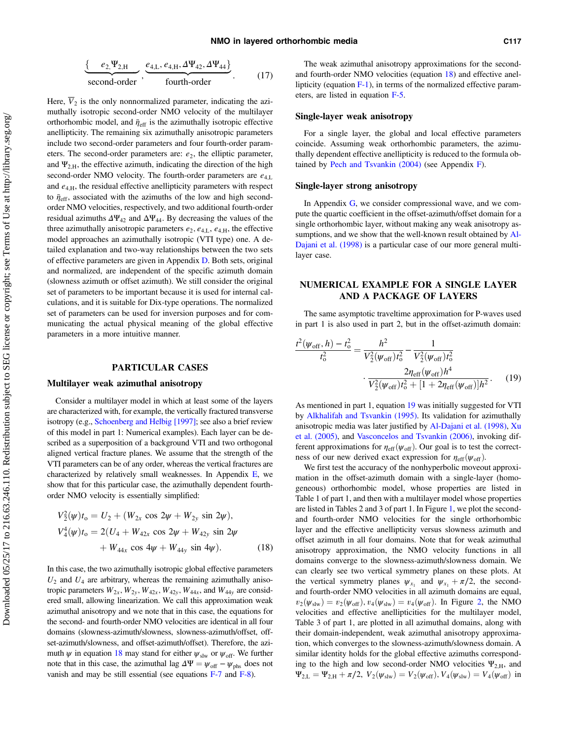<span id="page-4-0"></span>
$$
\underbrace{\{e_2, \Psi_{2,H}}_{\text{second-order}}, \underbrace{e_{4,L}, e_{4,H}, \Delta \Psi_{42}, \Delta \Psi_{44}}_{\text{fourth-order}}\}. \tag{17}
$$

Here,  $\overline{V}_2$  is the only nonnormalized parameter, indicating the azimuthally isotropic second-order NMO velocity of the multilayer orthorhombic model, and  $\bar{\eta}_{\text{eff}}$  is the azimuthally isotropic effective anellipticity. The remaining six azimuthally anisotropic parameters include two second-order parameters and four fourth-order parameters. The second-order parameters are:  $e_2$ , the elliptic parameter, and  $\Psi_{2,H}$ , the effective azimuth, indicating the direction of the high second-order NMO velocity. The fourth-order parameters are  $e_{4,L}$ and  $e_{4,H}$ , the residual effective anellipticity parameters with respect to  $\bar{\eta}_{\text{eff}}$ , associated with the azimuths of the low and high secondorder NMO velocities, respectively, and two additional fourth-order residual azimuths  $\Delta \Psi_{42}$  and  $\Delta \Psi_{44}$ . By decreasing the values of the three azimuthally anisotropic parameters  $e_2, e_{4,L}, e_{4,H}$ , the effective model approaches an azimuthally isotropic (VTI type) one. A detailed explanation and two-way relationships between the two sets of effective parameters are given in Appendix [D.](#page-11-0) Both sets, original and normalized, are independent of the specific azimuth domain (slowness azimuth or offset azimuth). We still consider the original set of parameters to be important because it is used for internal calculations, and it is suitable for Dix-type operations. The normalized set of parameters can be used for inversion purposes and for communicating the actual physical meaning of the global effective parameters in a more intuitive manner.

#### PARTICULAR CASES

### Multilayer weak azimuthal anisotropy

Consider a multilayer model in which at least some of the layers are characterized with, for example, the vertically fractured transverse isotropy (e.g., [Schoenberg and Helbig \[1997\]](#page-19-0); see also a brief review of this model in part 1: Numerical examples). Each layer can be described as a superposition of a background VTI and two orthogonal aligned vertical fracture planes. We assume that the strength of the VTI parameters can be of any order, whereas the vertical fractures are characterized by relatively small weaknesses. In Appendix  $E$ , we show that for this particular case, the azimuthally dependent fourthorder NMO velocity is essentially simplified:

$$
V_2^2(\psi)t_0 = U_2 + (W_{2x} \cos 2\psi + W_{2y} \sin 2\psi),
$$
  
\n
$$
V_4^4(\psi)t_0 = 2(U_4 + W_{42x} \cos 2\psi + W_{42y} \sin 2\psi + W_{44x} \cos 4\psi + W_{44y} \sin 4\psi).
$$
 (18)

In this case, the two azimuthally isotropic global effective parameters  $U_2$  and  $U_4$  are arbitrary, whereas the remaining azimuthally anisotropic parameters  $W_{2x}$ ,  $W_{2y}$ ,  $W_{42x}$ ,  $W_{44y}$ , and  $W_{44y}$  are considered small, allowing linearization. We call this approximation weak azimuthal anisotropy and we note that in this case, the equations for the second- and fourth-order NMO velocities are identical in all four domains (slowness-azimuth/slowness, slowness-azimuth/offset, offset-azimuth/slowness, and offset-azimuth/offset). Therefore, the azimuth  $\psi$  in equation 18 may stand for either  $\psi_{\text{slw}}$  or  $\psi_{\text{off}}$ . We further note that in this case, the azimuthal lag  $\Delta \Psi = \psi_{\text{off}} - \psi_{\text{phs}}$  does not vanish and may be still essential (see equations [F-7](#page-14-0) and [F-8\)](#page-14-0).

The weak azimuthal anisotropy approximations for the secondand fourth-order NMO velocities (equation 18) and effective anellipticity (equation  $F-1$ ), in terms of the normalized effective parameters, are listed in equation [F-5](#page-14-0).

#### Single-layer weak anisotropy

For a single layer, the global and local effective parameters coincide. Assuming weak orthorhombic parameters, the azimuthally dependent effective anellipticity is reduced to the formula obtained by [Pech and Tsvankin \(2004\)](#page-19-0) (see Appendix [F\)](#page-14-0).

#### Single-layer strong anisotropy

In Appendix [G](#page-15-0), we consider compressional wave, and we compute the quartic coefficient in the offset-azimuth/offset domain for a single orthorhombic layer, without making any weak anisotropy assumptions, and we show that the well-known result obtained by [Al-](#page-19-0)[Dajani et al. \(1998\)](#page-19-0) is a particular case of our more general multilayer case.

## NUMERICAL EXAMPLE FOR A SINGLE LAYER AND A PACKAGE OF LAYERS

The same asymptotic traveltime approximation for P-waves used in part 1 is also used in part 2, but in the offset-azimuth domain:

$$
\frac{t^2(\psi_{\text{off}}, h) - t_0^2}{t_0^2} = \frac{h^2}{V_2^2(\psi_{\text{off}})t_0^2} - \frac{1}{V_2^2(\psi_{\text{off}})t_0^2}
$$

$$
\frac{2\eta_{\text{eff}}(\psi_{\text{off}})h^4}{V_2^2(\psi_{\text{off}})t_0^2 + [1 + 2\eta_{\text{eff}}(\psi_{\text{off}})]h^2}.
$$
(19)

As mentioned in part 1, equation 19 was initially suggested for VTI by [Alkhalifah and Tsvankin \(1995\)](#page-19-0). Its validation for azimuthally anisotropic media was later justified by [Al-Dajani et al. \(1998\)](#page-19-0), [Xu](#page-19-0) [et al. \(2005\)](#page-19-0), and [Vasconcelos and Tsvankin \(2006\),](#page-19-0) invoking different approximations for  $\eta_{\text{eff}}(\psi_{\text{off}})$ . Our goal is to test the correctness of our new derived exact expression for  $\eta_{\text{eff}}(\psi_{\text{off}})$ .

We first test the accuracy of the nonhyperbolic moveout approximation in the offset-azimuth domain with a single-layer (homogeneous) orthorhombic model, whose properties are listed in Table 1 of part 1, and then with a multilayer model whose properties are listed in Tables 2 and 3 of part 1. In Figure [1,](#page-5-0) we plot the secondand fourth-order NMO velocities for the single orthorhombic layer and the effective anellipticity versus slowness azimuth and offset azimuth in all four domains. Note that for weak azimuthal anisotropy approximation, the NMO velocity functions in all domains converge to the slowness-azimuth/slowness domain. We can clearly see two vertical symmetry planes on these plots. At the vertical symmetry planes  $\psi_{x_1}$  and  $\psi_{x_1} + \pi/2$ , the secondand fourth-order NMO velocities in all azimuth domains are equal,  $v_2(\psi_{\text{slw}}) = v_2(\psi_{\text{off}}), v_4(\psi_{\text{slw}}) = v_4(\psi_{\text{off}})$ . In Figure [2,](#page-5-0) the NMO velocities and effective anellipticities for the multilayer model, Table 3 of part 1, are plotted in all azimuthal domains, along with their domain-independent, weak azimuthal anisotropy approximation, which converges to the slowness-azimuth/slowness domain. A similar identity holds for the global effective azimuths corresponding to the high and low second-order NMO velocities  $\Psi_{2\text{H}}$ , and  $\Psi_{2,L} = \Psi_{2,H} + \pi/2$ ,  $V_2(\psi_{slw}) = V_2(\psi_{off})$ ,  $V_4(\psi_{slw}) = V_4(\psi_{off})$  in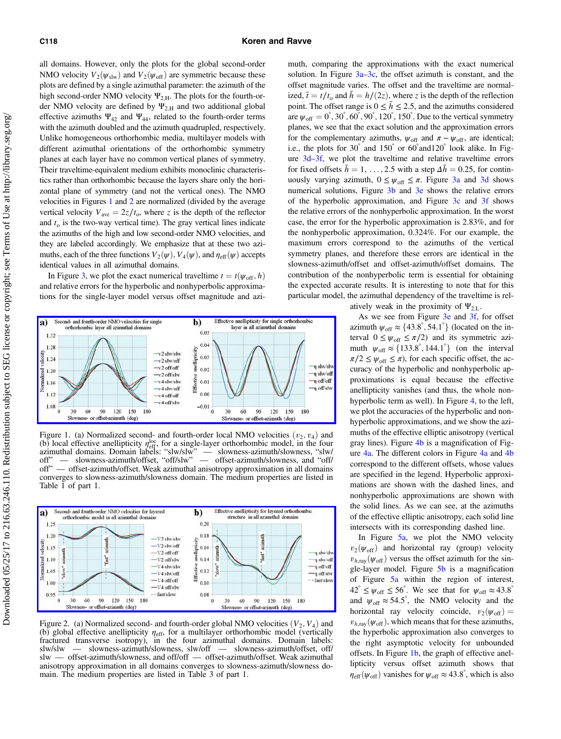<span id="page-5-0"></span>all domains. However, only the plots for the global second-order NMO velocity  $V_2(\psi_{\text{slw}})$  and  $V_2(\psi_{\text{off}})$  are symmetric because these plots are defined by a single azimuthal parameter: the azimuth of the high second-order NMO velocity  $\Psi_{2,H}$ . The plots for the fourth-order NMO velocity are defined by  $\Psi_{2,H}$  and two additional global effective azimuths  $\Psi_{42}$  and  $\Psi_{44}$ , related to the fourth-order terms with the azimuth doubled and the azimuth quadrupled, respectively. Unlike homogeneous orthorhombic media, multilayer models with different azimuthal orientations of the orthorhombic symmetry planes at each layer have no common vertical planes of symmetry. Their traveltime-equivalent medium exhibits monoclinic characteristics rather than orthorhombic because the layers share only the horizontal plane of symmetry (and not the vertical ones). The NMO velocities in Figures 1 and 2 are normalized (divided by the average vertical velocity  $V_{\text{ave}} = 2z/t_0$ , where z is the depth of the reflector and  $t<sub>o</sub>$  is the two-way vertical time). The gray vertical lines indicate the azimuths of the high and low second-order NMO velocities, and they are labeled accordingly. We emphasize that at these two azimuths, each of the three functions  $V_2(\psi)$ ,  $V_4(\psi)$ , and  $\eta_{\text{eff}}(\psi)$  accepts identical values in all azimuthal domains.

In Figure [3](#page-6-0), we plot the exact numerical traveltime  $t = t(\psi_{\text{off}}, h)$ and relative errors for the hyperbolic and nonhyperbolic approximations for the single-layer model versus offset magnitude and azi-



Figure 1. (a) Normalized second- and fourth-order local NMO velocities  $(v_2, v_4)$  and (b) local effective anellipticity  $\eta_{\text{eff}}^{\text{loc}}$ , for a single-layer orthorhombic model, in the four azimuthal domains. Domain labels: "slw/slw" — slowness-azimuth/slowness, "slw/ off" — slowness-azimuth/offset, "off/slw" — offset-azimuth/slowness, and "off/ off" — offset-azimuth/offset. Weak azimuthal anisotropy approximation in all domains converges to slowness-azimuth/slowness domain. The medium properties are listed in Table 1 of part 1.



Figure 2. (a) Normalized second- and fourth-order global NMO velocities  $(V_2, V_4)$  and (b) global effective anellipticity  $\eta_{\text{eff}}$ , for a multilayer orthorhombic model (vertically fractured transverse isotropy), in the four azimuthal domains. Domain labels: slw/slw — slowness-azimuth/slowness, slw/off — slowness-azimuth/offset, off/ slw — offset-azimuth/slowness, and off/off — offset-azimuth/offset. Weak azimuthal anisotropy approximation in all domains converges to slowness-azimuth/slowness domain. The medium properties are listed in Table 3 of part 1.

muth, comparing the approximations with the exact numerical solution. In Figure  $3a-3c$  $3a-3c$ , the offset azimuth is constant, and the offset magnitude varies. The offset and the traveltime are normalized,  $\bar{t} = t/t_0$  and  $\bar{h} = h/(2z)$ , where z is the depth of the reflection point. The offset range is  $0 \le \bar{h} \le 2.5$ , and the azimuths considered are  $\psi_{\text{off}} = 0^{\degree}$ , 30 $^{\degree}$ , 60 $^{\degree}$ , 90 $^{\degree}$ , 120 $^{\degree}$ , 150 $^{\degree}$ . Due to the vertical symmetry planes, we see that the exact solution and the approximation errors for the complementary azimuths,  $\psi_{\text{off}}$  and  $\pi - \psi_{\text{off}}$ , are identical; i.e., the plots for 30° and 150° or 60° and120° look alike. In Figure [3d](#page-6-0)–[3f](#page-6-0), we plot the traveltime and relative traveltime errors for fixed offsets  $\bar{h} = 1, \ldots, 2.5$  with a step  $\Delta \bar{h} = 0.25$ , for continuously varying azimuth,  $0 \leq \psi_{\text{off}} \leq \pi$ . Figure [3a](#page-6-0) and [3d](#page-6-0) shows numerical solutions, Figure [3b](#page-6-0) and [3e](#page-6-0) shows the relative errors of the hyperbolic approximation, and Figure [3c](#page-6-0) and [3f](#page-6-0) shows the relative errors of the nonhyperbolic approximation. In the worst case, the error for the hyperbolic approximation is 2.83%, and for the nonhyperbolic approximation, 0.324%. For our example, the maximum errors correspond to the azimuths of the vertical symmetry planes, and therefore these errors are identical in the slowness-azimuth/offset and offset-azimuth/offset domains. The contribution of the nonhyperbolic term is essential for obtaining the expected accurate results. It is interesting to note that for this particular model, the azimuthal dependency of the traveltime is relatively weak in the proximity of  $\Psi_{2,L}$ .

As we see from Figure [3e](#page-6-0) and [3f,](#page-6-0) for offset azimuth  $\psi_{\text{off}} \approx \{43.8^\circ, 54.1^\circ\}$  (located on the in-<br>tarval  $0 \le \psi_{\text{off}} \le \pi/2$ ) and its symmetric azi terval  $0 \leq \psi_{\text{off}} \leq \pi/2$  and its symmetric azimuth  $\psi_{\text{off}} \approx \{133.8^\circ, 144.1^\circ\}$  (on the interval  $\pi/2 \leq \psi_{\text{off}} \leq \pi$ ) for each specific offset the ac- $\pi/2 \leq \psi_{\text{off}} \leq \pi$ , for each specific offset, the accuracy of the hyperbolic and nonhyperbolic approximations is equal because the effective anellipticity vanishes (and thus, the whole non-hyperbolic term as well). In Figure [4,](#page-6-0) to the left, we plot the accuracies of the hyperbolic and nonhyperbolic approximations, and we show the azimuths of the effective elliptic anisotropy (vertical gray lines). Figure  $4b$  is a magnification of Figure [4a](#page-6-0). The different colors in Figure [4a](#page-6-0) and [4b](#page-6-0) correspond to the different offsets, whose values are specified in the legend. Hyperbolic approximations are shown with the dashed lines, and nonhyperbolic approximations are shown with the solid lines. As we can see, at the azimuths of the effective elliptic anisotropy, each solid line intersects with its corresponding dashed line.

In Figure [5a,](#page-7-0) we plot the NMO velocity  $v_2(\psi_{\text{off}})$  and horizontal ray (group) velocity  $v_{h,\text{ray}}(\psi_{\text{off}})$  versus the offset azimuth for the single-layer model. Figure [5b](#page-7-0) is a magnification of Figure [5a](#page-7-0) within the region of interest,  $42^{\circ} \leq \psi_{\text{off}} \leq 56^{\circ}$ . We see that for  $\psi_{\text{off}} \approx 43.8^{\circ}$ and  $\psi_{\text{off}} \approx 54.5^{\degree}$ , the NMO velocity and the horizontal ray velocity coincide,  $v_2(\psi_{\text{off}}) =$  $v_{h,\text{ray}}(\psi_{\text{off}})$ , which means that for these azimuths, the hyperbolic approximation also converges to the right asymptotic velocity for unbounded offsets. In Figure 1b, the graph of effective anellipticity versus offset azimuth shows that  $\eta_{\text{eff}}(\psi_{\text{off}})$  vanishes for  $\psi_{\text{off}} \approx 43.8^{\degree}$ , which is also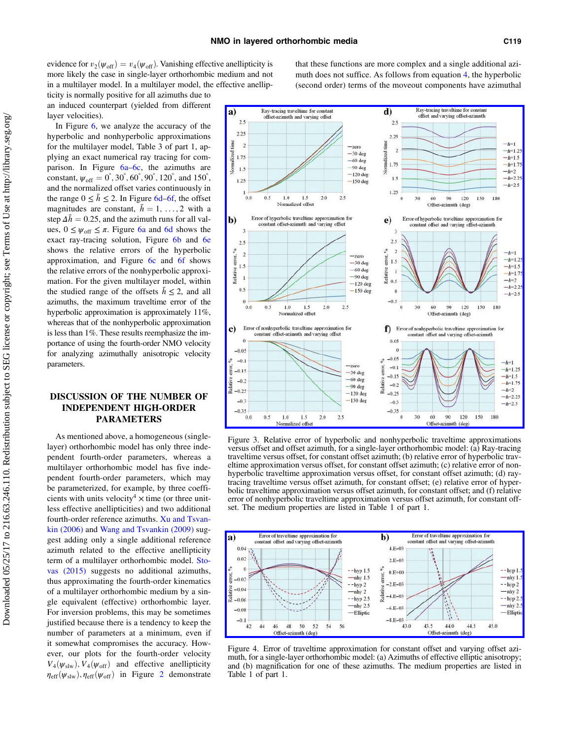<span id="page-6-0"></span>evidence for  $v_2(\psi_{\text{off}}) = v_4(\psi_{\text{off}})$ . Vanishing effective anellipticity is more likely the case in single-layer orthorhombic medium and not in a multilayer model. In a multilayer model, the effective anellipticity is normally positive for all azimuths due to

an induced counterpart (yielded from different layer velocities). In Figure [6](#page-7-0), we analyze the accuracy of the

hyperbolic and nonhyperbolic approximations for the multilayer model, Table 3 of part 1, applying an exact numerical ray tracing for comparison. In Figure [6a](#page-7-0)–[6c](#page-7-0), the azimuths are constant,  $\psi_{\text{off}} = 0^{\circ}, 30^{\circ}, 60^{\circ}, 90^{\circ}, 120^{\circ}, \text{ and } 150^{\circ},$ <br>and the normalized offset varies continuously in and the normalized offset varies continuously in the range  $0 \leq \bar{h} \leq 2$ . In Figure [6d](#page-7-0)–[6f](#page-7-0), the offset magnitudes are constant,  $\bar{h} = 1, \ldots, 2$  with a step  $\Delta \bar{h} = 0.25$ , and the azimuth runs for all values,  $0 \leq \psi_{\text{off}} \leq \pi$ . Figure [6a](#page-7-0) and [6d](#page-7-0) shows the exact ray-tracing solution, Figure [6b](#page-7-0) and [6e](#page-7-0) shows the relative errors of the hyperbolic approximation, and Figure [6c](#page-7-0) and [6f](#page-7-0) shows the relative errors of the nonhyperbolic approximation. For the given multilayer model, within the studied range of the offsets  $\bar{h} \leq 2$ , and all azimuths, the maximum traveltime error of the hyperbolic approximation is approximately 11%, whereas that of the nonhyperbolic approximation is less than 1%. These results reemphasize the importance of using the fourth-order NMO velocity for analyzing azimuthally anisotropic velocity parameters.

## DISCUSSION OF THE NUMBER OF INDEPENDENT HIGH-ORDER PARAMETERS

As mentioned above, a homogeneous (singlelayer) orthorhombic model has only three independent fourth-order parameters, whereas a multilayer orthorhombic model has five independent fourth-order parameters, which may be parameterized, for example, by three coefficients with units velocity<sup>4</sup>  $\times$  time (or three unitless effective anellipticities) and two additional fourth-order reference azimuths. [Xu and Tsvan](#page-19-0)[kin \(2006\)](#page-19-0) and [Wang and Tsvankin \(2009\)](#page-19-0) suggest adding only a single additional reference azimuth related to the effective anellipticity term of a multilayer orthorhombic model. [Sto](#page-19-0)[vas \(2015\)](#page-19-0) suggests no additional azimuths, thus approximating the fourth-order kinematics of a multilayer orthorhombic medium by a single equivalent (effective) orthorhombic layer. For inversion problems, this may be sometimes justified because there is a tendency to keep the number of parameters at a minimum, even if it somewhat compromises the accuracy. However, our plots for the fourth-order velocity  $V_4(\psi_{\text{slw}}), V_4(\psi_{\text{off}})$  and effective anellipticity  $\eta_{\text{eff}}(\psi_{\text{slw}}), \eta_{\text{eff}}(\psi_{\text{off}})$  in Figure [2](#page-5-0) demonstrate that these functions are more complex and a single additional azimuth does not suffice. As follows from equation [4](#page-2-0), the hyperbolic (second order) terms of the moveout components have azimuthal



Figure 3. Relative error of hyperbolic and nonhyperbolic traveltime approximations versus offset and offset azimuth, for a single-layer orthorhombic model: (a) Ray-tracing traveltime versus offset, for constant offset azimuth; (b) relative error of hyperbolic traveltime approximation versus offset, for constant offset azimuth; (c) relative error of nonhyperbolic traveltime approximation versus offset, for constant offset azimuth; (d) raytracing traveltime versus offset azimuth, for constant offset; (e) relative error of hyperbolic traveltime approximation versus offset azimuth, for constant offset; and (f) relative error of nonhyperbolic traveltime approximation versus offset azimuth, for constant offset. The medium properties are listed in Table 1 of part 1.



Figure 4. Error of traveltime approximation for constant offset and varying offset azimuth, for a single-layer orthorhombic model: (a) Azimuths of effective elliptic anisotropy; and (b) magnification for one of these azimuths. The medium properties are listed in Table 1 of part 1.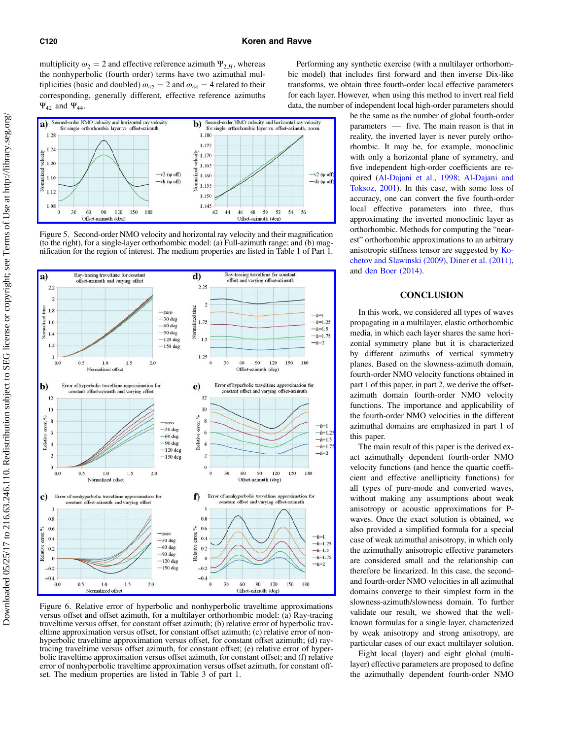<span id="page-7-0"></span>multiplicity  $\omega_2 = 2$  and effective reference azimuth  $\Psi_{2,H}$ , whereas the nonhyperbolic (fourth order) terms have two azimuthal multiplicities (basic and doubled)  $\omega_{42} = 2$  and  $\omega_{44} = 4$  related to their corresponding, generally different, effective reference azimuths  $\Psi_{42}$  and  $\Psi_{44}$ .



Figure 5. Second-order NMO velocity and horizontal ray velocity and their magnification (to the right), for a single-layer orthorhombic model: (a) Full-azimuth range; and (b) magnification for the region of interest. The medium properties are listed in Table 1 of Part 1.



Figure 6. Relative error of hyperbolic and nonhyperbolic traveltime approximations versus offset and offset azimuth, for a multilayer orthorhombic model: (a) Ray-tracing traveltime versus offset, for constant offset azimuth; (b) relative error of hyperbolic traveltime approximation versus offset, for constant offset azimuth; (c) relative error of nonhyperbolic traveltime approximation versus offset, for constant offset azimuth; (d) raytracing traveltime versus offset azimuth, for constant offset; (e) relative error of hyperbolic traveltime approximation versus offset azimuth, for constant offset; and (f) relative error of nonhyperbolic traveltime approximation versus offset azimuth, for constant offset. The medium properties are listed in Table 3 of part 1.

Performing any synthetic exercise (with a multilayer orthorhombic model) that includes first forward and then inverse Dix-like transforms, we obtain three fourth-order local effective parameters for each layer. However, when using this method to invert real field data, the number of independent local high-order parameters should

> be the same as the number of global fourth-order parameters — five. The main reason is that in reality, the inverted layer is never purely orthorhombic. It may be, for example, monoclinic with only a horizontal plane of symmetry, and five independent high-order coefficients are required ([Al-Dajani et al., 1998](#page-19-0); [Al-Dajani and](#page-19-0) [Toksoz, 2001](#page-19-0)). In this case, with some loss of accuracy, one can convert the five fourth-order local effective parameters into three, thus approximating the inverted monoclinic layer as orthorhombic. Methods for computing the "nearest" orthorhombic approximations to an arbitrary anisotropic stiffness tensor are suggested by [Ko](#page-19-0)[chetov and Slawinski \(2009\)](#page-19-0), [Diner et al. \(2011\),](#page-19-0) and [den Boer \(2014\).](#page-19-0)

## **CONCLUSION**

In this work, we considered all types of waves propagating in a multilayer, elastic orthorhombic media, in which each layer shares the same horizontal symmetry plane but it is characterized by different azimuths of vertical symmetry planes. Based on the slowness-azimuth domain, fourth-order NMO velocity functions obtained in part 1 of this paper, in part 2, we derive the offsetazimuth domain fourth-order NMO velocity functions. The importance and applicability of the fourth-order NMO velocities in the different azimuthal domains are emphasized in part 1 of this paper.

The main result of this paper is the derived exact azimuthally dependent fourth-order NMO velocity functions (and hence the quartic coefficient and effective anellipticity functions) for all types of pure-mode and converted waves, without making any assumptions about weak anisotropy or acoustic approximations for Pwaves. Once the exact solution is obtained, we also provided a simplified formula for a special case of weak azimuthal anisotropy, in which only the azimuthally anisotropic effective parameters are considered small and the relationship can therefore be linearized. In this case, the secondand fourth-order NMO velocities in all azimuthal domains converge to their simplest form in the slowness-azimuth/slowness domain. To further validate our result, we showed that the wellknown formulas for a single layer, characterized by weak anisotropy and strong anisotropy, are particular cases of our exact multilayer solution.

Eight local (layer) and eight global (multilayer) effective parameters are proposed to define the azimuthally dependent fourth-order NMO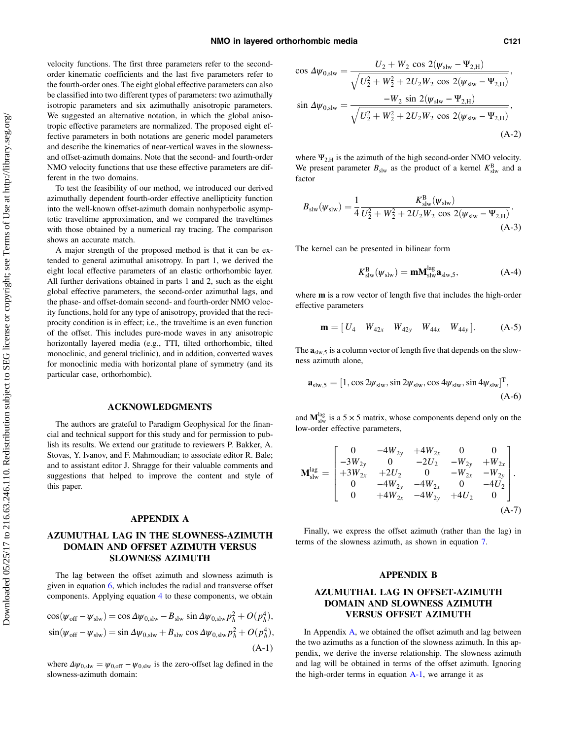<span id="page-8-0"></span>velocity functions. The first three parameters refer to the secondorder kinematic coefficients and the last five parameters refer to the fourth-order ones. The eight global effective parameters can also be classified into two different types of parameters: two azimuthally isotropic parameters and six azimuthally anisotropic parameters. We suggested an alternative notation, in which the global anisotropic effective parameters are normalized. The proposed eight effective parameters in both notations are generic model parameters and describe the kinematics of near-vertical waves in the slownessand offset-azimuth domains. Note that the second- and fourth-order NMO velocity functions that use these effective parameters are different in the two domains.

To test the feasibility of our method, we introduced our derived azimuthally dependent fourth-order effective anellipticity function into the well-known offset-azimuth domain nonhyperbolic asymptotic traveltime approximation, and we compared the traveltimes with those obtained by a numerical ray tracing. The comparison shows an accurate match.

A major strength of the proposed method is that it can be extended to general azimuthal anisotropy. In part 1, we derived the eight local effective parameters of an elastic orthorhombic layer. All further derivations obtained in parts 1 and 2, such as the eight global effective parameters, the second-order azimuthal lags, and the phase- and offset-domain second- and fourth-order NMO velocity functions, hold for any type of anisotropy, provided that the reciprocity condition is in effect; i.e., the traveltime is an even function of the offset. This includes pure-mode waves in any anisotropic horizontally layered media (e.g., TTI, tilted orthorhombic, tilted monoclinic, and general triclinic), and in addition, converted waves for monoclinic media with horizontal plane of symmetry (and its particular case, orthorhombic).

### ACKNOWLEDGMENTS

The authors are grateful to Paradigm Geophysical for the financial and technical support for this study and for permission to publish its results. We extend our gratitude to reviewers P. Bakker, A. Stovas, Y. Ivanov, and F. Mahmoudian; to associate editor R. Bale; and to assistant editor J. Shragge for their valuable comments and suggestions that helped to improve the content and style of this paper.

## APPENDIX A

## AZUMUTHAL LAG IN THE SLOWNESS-AZIMUTH DOMAIN AND OFFSET AZIMUTH VERSUS SLOWNESS AZIMUTH

The lag between the offset azimuth and slowness azimuth is given in equation  $6$ , which includes the radial and transverse offset components. Applying equation [4](#page-2-0) to these components, we obtain

$$
\cos(\psi_{\text{off}} - \psi_{\text{slw}}) = \cos \Delta \psi_{0,\text{slw}} - B_{\text{slw}} \sin \Delta \psi_{0,\text{slw}} p_h^2 + O(p_h^4),
$$
  
\n
$$
\sin(\psi_{\text{off}} - \psi_{\text{slw}}) = \sin \Delta \psi_{0,\text{slw}} + B_{\text{slw}} \cos \Delta \psi_{0,\text{slw}} p_h^2 + O(p_h^4),
$$
  
\n(A-1)

where  $\Delta \psi_{0,slw} = \psi_{0,off} - \psi_{0,slw}$  is the zero-offset lag defined in the slowness-azimuth domain:

$$
\cos \Delta \psi_{0,\text{slw}} = \frac{U_2 + W_2 \cos 2(\psi_{\text{slw}} - \Psi_{2,\text{H}})}{\sqrt{U_2^2 + W_2^2 + 2U_2W_2 \cos 2(\psi_{\text{slw}} - \Psi_{2,\text{H}})}},
$$
  
\n
$$
\sin \Delta \psi_{0,\text{slw}} = \frac{-W_2 \sin 2(\psi_{\text{slw}} - \Psi_{2,\text{H}})}{\sqrt{U_2^2 + W_2^2 + 2U_2W_2 \cos 2(\psi_{\text{slw}} - \Psi_{2,\text{H}})}},
$$
  
\n(A-2)

where  $\Psi_{2,H}$  is the azimuth of the high second-order NMO velocity. We present parameter  $B_{\text{slw}}$  as the product of a kernel  $K_{\text{slw}}^{\text{B}}$  and a factor

$$
B_{\rm slw}(\psi_{\rm slw}) = \frac{1}{4} \frac{K_{\rm slw}^{\rm B}(\psi_{\rm slw})}{U_2^2 + W_2^2 + 2U_2 W_2 \cos 2(\psi_{\rm slw} - \Psi_{2,\rm H})}.
$$
\n(A-3)

The kernel can be presented in bilinear form

$$
K_{\text{slw}}^{\text{B}}(\psi_{\text{slw}}) = \mathbf{m} \mathbf{M}_{\text{slw}}^{\text{lag}} \mathbf{a}_{\text{slw},5},\tag{A-4}
$$

where **m** is a row vector of length five that includes the high-order effective parameters

$$
\mathbf{m} = [U_4 \quad W_{42x} \quad W_{42y} \quad W_{44x} \quad W_{44y}]. \tag{A-5}
$$

The  $\mathbf{a}_{\text{slw},5}$  is a column vector of length five that depends on the slowness azimuth alone,

$$
\mathbf{a}_{\text{slw},5} = [1, \cos 2\psi_{\text{slw}}, \sin 2\psi_{\text{slw}}, \cos 4\psi_{\text{slw}}, \sin 4\psi_{\text{slw}}]^{\text{T}},
$$
\n(A-6)

and  $M_{\text{slw}}^{\text{lag}}$  is a 5  $\times$  5 matrix, whose components depend only on the low-order effective parameters,

$$
\mathbf{M}_{\text{slw}}^{\text{lag}} = \begin{bmatrix} 0 & -4W_{2y} & +4W_{2x} & 0 & 0 \\ -3W_{2y} & 0 & -2U_2 & -W_{2y} & +W_{2x} \\ +3W_{2x} & +2U_2 & 0 & -W_{2x} & -W_{2y} \\ 0 & -4W_{2y} & -4W_{2x} & 0 & -4U_2 \\ 0 & +4W_{2x} & -4W_{2y} & +4U_2 & 0 \end{bmatrix}.
$$
\n(A-7)

Finally, we express the offset azimuth (rather than the lag) in terms of the slowness azimuth, as shown in equation [7](#page-2-0).

### APPENDIX B

## AZUMUTHAL LAG IN OFFSET-AZIMUTH DOMAIN AND SLOWNESS AZIMUTH VERSUS OFFSET AZIMUTH

In Appendix A, we obtained the offset azimuth and lag between the two azimuths as a function of the slowness azimuth. In this appendix, we derive the inverse relationship. The slowness azimuth and lag will be obtained in terms of the offset azimuth. Ignoring the high-order terms in equation  $A-1$ , we arrange it as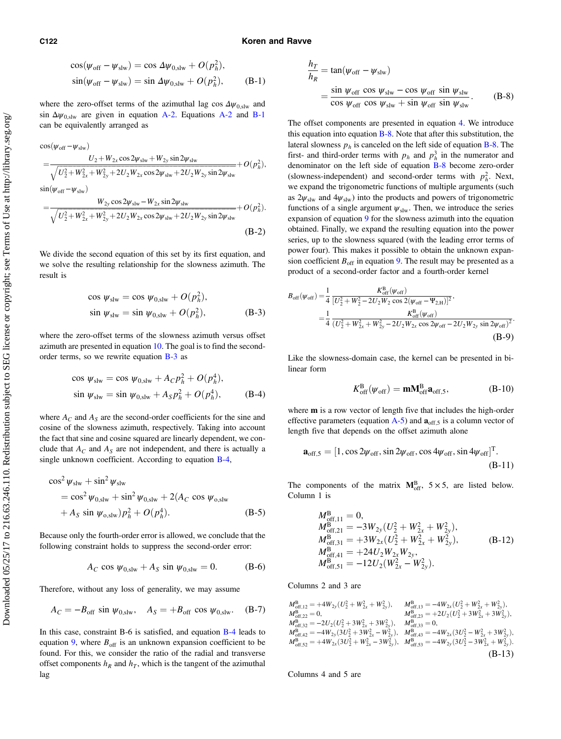#### <span id="page-9-0"></span>C122 Koren and Ravve

$$
\cos(\psi_{\text{off}} - \psi_{\text{slw}}) = \cos \Delta \psi_{0,\text{slw}} + O(p_h^2),
$$
  
\n
$$
\sin(\psi_{\text{off}} - \psi_{\text{slw}}) = \sin \Delta \psi_{0,\text{slw}} + O(p_h^2),
$$
 (B-1)

where the zero-offset terms of the azimuthal lag cos  $\Delta \psi_{0,slw}$  and sin  $\Delta \psi_{0,slw}$  are given in equation [A-2](#page-8-0). Equations A-2 and [B-1](#page-8-0) can be equivalently arranged as

$$
\cos(\psi_{\text{off}} - \psi_{\text{slw}}) = \frac{U_2 + W_{2x} \cos 2\psi_{\text{slw}} + W_{2y} \sin 2\psi_{\text{slw}}}{\sqrt{U_2^2 + W_{2x}^2 + W_{2y}^2 + 2U_2 W_{2x} \cos 2\psi_{\text{slw}} + 2U_2 W_{2y} \sin 2\psi_{\text{slw}}}} + O(p_h^2),
$$
  
\n
$$
\sin(\psi_{\text{off}} - \psi_{\text{slw}})
$$
\n
$$
= \frac{W_{2y} \cos 2\psi_{\text{slw}} - W_{2x} \sin 2\psi_{\text{slw}}}{\sqrt{U_2^2 + W_{2x}^2 + W_{2y}^2 + 2U_2 W_{2x} \cos 2\psi_{\text{slw}} + 2U_2 W_{2y} \sin 2\psi_{\text{slw}}}} + O(p_h^2).
$$
\n(B-2)

We divide the second equation of this set by its first equation, and we solve the resulting relationship for the slowness azimuth. The result is

$$
\cos \psi_{\text{slw}} = \cos \psi_{0,\text{slw}} + O(p_h^2),
$$
  
\n
$$
\sin \psi_{\text{slw}} = \sin \psi_{0,\text{slw}} + O(p_h^2),
$$
 (B-3)

where the zero-offset terms of the slowness azimuth versus offset azimuth are presented in equation [10](#page-3-0). The goal is to find the secondorder terms, so we rewrite equation B-3 as

$$
\cos \psi_{\text{slw}} = \cos \psi_{0,\text{slw}} + A_C p_h^2 + O(p_h^4),
$$
  
\n
$$
\sin \psi_{\text{slw}} = \sin \psi_{0,\text{slw}} + A_S p_h^2 + O(p_h^4),
$$
 (B-4)

where  $A_C$  and  $A_S$  are the second-order coefficients for the sine and cosine of the slowness azimuth, respectively. Taking into account the fact that sine and cosine squared are linearly dependent, we conclude that  $A_C$  and  $A_S$  are not independent, and there is actually a single unknown coefficient. According to equation B-4,

$$
\cos^{2} \psi_{\text{slw}} + \sin^{2} \psi_{\text{slw}} \n= \cos^{2} \psi_{0,\text{slw}} + \sin^{2} \psi_{0,\text{slw}} + 2(A_{C} \cos \psi_{0,\text{slw}} \n+ A_{S} \sin \psi_{0,\text{slw}}) p_{h}^{2} + O(p_{h}^{4}).
$$
\n(B-5)

Because only the fourth-order error is allowed, we conclude that the following constraint holds to suppress the second-order error:

$$
A_C \cos \psi_{0,\text{slw}} + A_S \sin \psi_{0,\text{slw}} = 0. \tag{B-6}
$$

Therefore, without any loss of generality, we may assume

$$
A_C = -B_{\text{off}} \sin \psi_{0,\text{slw}}, \quad A_S = +B_{\text{off}} \cos \psi_{0,\text{slw}}.
$$
 (B-7)

In this case, constraint B-6 is satisfied, and equation B-4 leads to equation [9,](#page-3-0) where  $B_{\text{off}}$  is an unknown expansion coefficient to be found. For this, we consider the ratio of the radial and transverse offset components  $h_R$  and  $h_T$ , which is the tangent of the azimuthal lag

$$
\frac{h_T}{h_R} = \tan(\psi_{\text{off}} - \psi_{\text{slw}})
$$
  
= 
$$
\frac{\sin \psi_{\text{off}} \cos \psi_{\text{slw}} - \cos \psi_{\text{off}} \sin \psi_{\text{slw}}}{\cos \psi_{\text{off}} \cos \psi_{\text{slw}} + \sin \psi_{\text{off}} \sin \psi_{\text{slw}}}
$$
 (B-8)

The offset components are presented in equation [4](#page-2-0). We introduce this equation into equation  $B-8$ . Note that after this substitution, the lateral slowness  $p<sub>h</sub>$  is canceled on the left side of equation **B-8**. The first- and third-order terms with  $p_h$  and  $p_h^3$  in the numerator and denominator on the left side of equation B-8 become zero-order (slowness-independent) and second-order terms with  $p_h^2$ . Next, we expand the trigonometric functions of multiple arguments (such as  $2\psi_{\text{slw}}$  and  $4\psi_{\text{slw}}$ ) into the products and powers of trigonometric functions of a single argument  $\psi_{\text{slw}}$ . Then, we introduce the series expansion of equation [9](#page-3-0) for the slowness azimuth into the equation obtained. Finally, we expand the resulting equation into the power series, up to the slowness squared (with the leading error terms of power four). This makes it possible to obtain the unknown expansion coefficient  $B_{\text{off}}$  in equation [9](#page-3-0). The result may be presented as a product of a second-order factor and a fourth-order kernel

$$
B_{\text{off}}(\psi_{\text{off}}) = \frac{1}{4} \frac{K_{\text{off}}^B(\psi_{\text{off}})}{[U_2^2 + W_2^2 - 2U_2W_2 \cos 2(\psi_{\text{off}} - \Psi_{2,H})]^2},
$$
  
= 
$$
\frac{1}{4} \frac{K_{\text{off}}^B(\psi_{\text{off}})}{(U_2^2 + W_{2x}^2 + W_{2y}^2 - 2U_2W_{2x} \cos 2\psi_{\text{off}} - 2U_2W_{2y} \sin 2\psi_{\text{off}})^2}.
$$
  
(B-9)

Like the slowness-domain case, the kernel can be presented in bilinear form

$$
K_{\rm off}^{\rm B}(\psi_{\rm off}) = \mathbf{mM}_{\rm off}^{\rm B} \mathbf{a}_{\rm off,5},\tag{B-10}
$$

where m is a row vector of length five that includes the high-order effective parameters (equation  $A-5$ ) and  $a_{off,5}$  is a column vector of length five that depends on the offset azimuth alone

$$
\mathbf{a}_{\text{off},5} = [1, \cos 2\psi_{\text{off}}, \sin 2\psi_{\text{off}}, \cos 4\psi_{\text{off}}, \sin 4\psi_{\text{off}}]^{\text{T}}.
$$
\n(B-11)

The components of the matrix  $M_{off}^{B}$ ,  $5 \times 5$ , are listed below. Column 1 is

$$
M_{\text{off,11}}^{\text{B}} = 0,
$$
  
\n
$$
M_{\text{off,21}}^{\text{B}} = -3W_{2y}(U_2^2 + W_{2x}^2 + W_{2y}^2),
$$
  
\n
$$
M_{\text{off,31}}^{\text{B}} = +3W_{2x}(U_2^2 + W_{2x}^2 + W_{2y}^2),
$$
  
\n
$$
M_{\text{off,41}}^{\text{B}} = +24U_2W_{2x}W_{2y},
$$
  
\n
$$
M_{\text{off,51}}^{\text{B}} = -12U_2(W_{2x}^2 - W_{2y}^2).
$$
  
\n(B-12)

Columns 2 and 3 are

$$
\begin{array}{ll} M_{\text{off},12}^{\text{B}} = +4W_{2y}(U_2^2 + W_{2x}^2 + W_{2y}^2), & M_{\text{off},13}^{\text{B}} = -4W_{2x}(U_2^2 + W_{2x}^2 + W_{2y}^2),\\ M_{\text{off},22}^{\text{B}} = 0, & M_{\text{off},23}^{\text{B}} = +2U_2(U_2^2 + 3W_{2x}^2 + 3W_{2y}^2),\\ M_{\text{off},32}^{\text{B}} = -2U_2(U_2^2 + 3W_{2x}^2 + 3W_{2y}^2), & M_{\text{off},33}^{\text{B}} = 0,\\ M_{\text{off},42}^{\text{B}} = -4W_{2y}(3U_2^2 + 3W_{2x}^2 - W_{2y}^2), & M_{\text{off},43}^{\text{B}} = -4W_{2x}(3U_2^2 - W_{2x}^2 + 3W_{2y}^2),\\ M_{\text{off},52}^{\text{B}} = +4W_{2x}(3U_2^2 + W_{2x}^2 - 3W_{2y}^2), & M_{\text{off},53}^{\text{B}} = -4W_{2y}(3U_2^2 - 3W_{2x}^2 + W_{2y}^2).\\ \end{array} \tag{B-13}
$$

Columns 4 and 5 are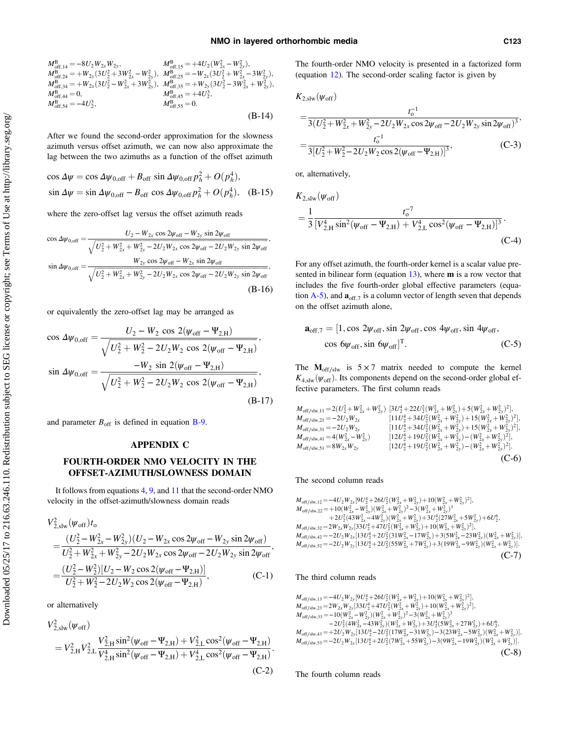<span id="page-10-0"></span>
$$
M_{\text{off},14}^{B} = -8U_{2}W_{2x}W_{2y}, \t M_{\text{off},15}^{B} = +4U_{2}(W_{2x}^{2} - W_{2y}^{2}),
$$
  
\n
$$
M_{\text{off},24}^{B} = +W_{2y}(3U_{2}^{2} + 3W_{2x}^{2} - W_{2y}^{2}), \t M_{\text{off},25}^{B} = -W_{2x}(3U_{2}^{2} + W_{2x}^{2} - 3W_{2y}^{2}),
$$
  
\n
$$
M_{\text{off},34}^{B} = +W_{2x}(3U_{2}^{2} - W_{2x}^{2} + 3W_{2y}^{2}), \t M_{\text{off},35}^{B} = +W_{2y}(3U_{2}^{2} - 3W_{2x}^{2} + W_{2y}^{2}),
$$
  
\n
$$
M_{\text{off},45}^{B} = +4U_{2}^{3}, \t M_{\text{off},55}^{B} = 0.
$$
  
\n
$$
M_{\text{off},55}^{B} = 0.
$$
  
\n(B-14)

After we found the second-order approximation for the slowness azimuth versus offset azimuth, we can now also approximate the lag between the two azimuths as a function of the offset azimuth

$$
\cos \Delta \psi = \cos \Delta \psi_{0,\text{off}} + B_{\text{off}} \sin \Delta \psi_{0,\text{off}} p_h^2 + O(p_h^4),
$$
  
\n
$$
\sin \Delta \psi = \sin \Delta \psi_{0,\text{off}} - B_{\text{off}} \cos \Delta \psi_{0,\text{off}} p_h^2 + O(p_h^4), \quad (B-15)
$$

where the zero-offset lag versus the offset azimuth reads

$$
\cos \Delta \psi_{0,\text{off}} = \frac{U_2 - W_{2x} \cos 2\psi_{\text{off}} - W_{2y} \sin 2\psi_{\text{off}}}{\sqrt{U_2^2 + W_{2x}^2 + W_{2y}^2 - 2U_2 W_{2x} \cos 2\psi_{\text{off}} - 2U_2 W_{2y} \sin 2\psi_{\text{off}}}},
$$
  
\n
$$
\sin \Delta \psi_{0,\text{off}} = \frac{W_{2y} \cos 2\psi_{\text{off}} - W_{2x} \sin 2\psi_{\text{off}}}{\sqrt{U_2^2 + W_{2x}^2 + W_{2y}^2 - 2U_2 W_{2x} \cos 2\psi_{\text{off}} - 2U_2 W_{2y} \sin 2\psi_{\text{off}}}},
$$
  
\n(B-16)

or equivalently the zero-offset lag may be arranged as

$$
\cos \Delta \psi_{0,\text{off}} = \frac{U_2 - W_2 \cos 2(\psi_{\text{off}} - \Psi_{2,\text{H}})}{\sqrt{U_2^2 + W_2^2 - 2U_2 W_2 \cos 2(\psi_{\text{off}} - \Psi_{2,\text{H}})}},
$$
  
\n
$$
\sin \Delta \psi_{0,\text{off}} = \frac{-W_2 \sin 2(\psi_{\text{off}} - \Psi_{2,\text{H}})}{\sqrt{U_2^2 + W_2^2 - 2U_2 W_2 \cos 2(\psi_{\text{off}} - \Psi_{2,\text{H}})}},
$$
\n(B-17)

and parameter  $B_{\text{off}}$  is defined in equation [B-9](#page-9-0).

### APPENDIX C

### FOURTH-ORDER NMO VELOCITY IN THE OFFSET-AZIMUTH/SLOWNESS DOMAIN

It follows from equations [4,](#page-2-0) [9](#page-3-0), and [11](#page-3-0) that the second-order NMO velocity in the offset-azimuth/slowness domain reads

$$
V_{2,\text{slw}}^2(\psi_{\text{off}})t_0
$$
  
= 
$$
\frac{(U_2^2 - W_{2x}^2 - W_{2y}^2)(U_2 - W_{2x}\cos 2\psi_{\text{off}} - W_{2y}\sin 2\psi_{\text{off}})}{U_2^2 + W_{2x}^2 + W_{2y}^2 - 2U_2W_{2x}\cos 2\psi_{\text{off}} - 2U_2W_{2y}\sin 2\psi_{\text{off}}}
$$
  
= 
$$
\frac{(U_2^2 - W_2^2)[U_2 - W_2\cos 2(\psi_{\text{off}} - \Psi_{2,H})]}{U_2^2 + W_2^2 - 2U_2W_2\cos 2(\psi_{\text{off}} - \Psi_{2,H})}
$$
, (C-1)

or alternatively

$$
V_{2,slw}^{2}(\psi_{off})
$$
\n
$$
= V_{2,H}^{2} V_{2,L}^{2} \frac{V_{2,H}^{2} \sin^{2}(\psi_{off} - \Psi_{2,H}) + V_{2,L}^{2} \cos^{2}(\psi_{off} - \Psi_{2,H})}{V_{2,H}^{4} \sin^{2}(\psi_{off} - \Psi_{2,H}) + V_{2,L}^{4} \cos^{2}(\psi_{off} - \Psi_{2,H})}.
$$
\n(C-2)

The fourth-order NMO velocity is presented in a factorized form (equation [12\)](#page-3-0). The second-order scaling factor is given by

$$
K_{2,\text{slw}}(\psi_{\text{off}})
$$

$$
= \frac{t_0^{-1}}{3(U_2^2 + W_{2x}^2 + W_{2y}^2 - 2U_2W_{2x}\cos 2\psi_{\text{off}} - 2U_2W_{2y}\sin 2\psi_{\text{off}})^3},
$$
  
= 
$$
\frac{t_0^{-1}}{3[U_2^2 + W_2^2 - 2U_2W_2\cos 2(\psi_{\text{off}} - \Psi_{2,H})]^3},
$$
 (C-3)

or, alternatively,

$$
K_{2,\text{slw}}(\psi_{\text{off}})
$$
  
=  $\frac{1}{3} \frac{t_0^{-7}}{[V_{2,\text{H}}^4 \sin^2(\psi_{\text{off}} - \Psi_{2,\text{H}}) + V_{2,\text{L}}^4 \cos^2(\psi_{\text{off}} - \Psi_{2,\text{H}})]^3}$ . (C-4)

For any offset azimuth, the fourth-order kernel is a scalar value presented in bilinear form (equation [13\)](#page-3-0), where m is a row vector that includes the five fourth-order global effective parameters (equation  $A-5$ ), and  $a_{off,7}$  is a column vector of length seven that depends on the offset azimuth alone,

$$
\mathbf{a}_{\text{off},7} = [1, \cos 2\psi_{\text{off}}, \sin 2\psi_{\text{off}}, \cos 4\psi_{\text{off}}, \sin 4\psi_{\text{off}},
$$

$$
\cos 6\psi_{\text{off}}, \sin 6\psi_{\text{off}}]^{\text{T}}.
$$
(C-5)

The  $M_{off/slw}$  is 5 × 7 matrix needed to compute the kernel  $K_{4,slw}(\psi_{\text{off}})$ . Its components depend on the second-order global effective parameters. The first column reads

$$
M_{off/slw,11} = 2(U_2^2 + W_{2x}^2 + W_{2y}^2) [3U_2^4 + 22U_2^2(W_{2x}^2 + W_{2y}^2) + 5(W_{2x}^2 + W_{2y}^2)^2],
$$
  
\n
$$
M_{off/slw,21} = -2U_2W_{2x}
$$
  
\n
$$
M_{off/slw,31} = -2U_2W_{2y}
$$
  
\n
$$
M_{off/slw,31} = -2U_2W_{2y}
$$
  
\n
$$
M_{off/slw,41} = 4(W_{2x}^2 - W_{2y}^2)
$$
  
\n
$$
M_{off/slw,41} = 4(W_{2x}^2 - W_{2y}^2)
$$
  
\n
$$
M_{off/slw,51} = 8W_{2x}W_{2y}
$$
  
\n
$$
M_{off/slw,51} = 8W_{2x}W_{2y}
$$
  
\n
$$
M_{off/slw,51} = 8W_{2x}W_{2y}
$$
  
\n
$$
M_{off/slw,51} = 8W_{2x}W_{2y}
$$
  
\n
$$
M_{off/slw,51} = 8W_{2x}W_{2y}
$$
  
\n
$$
M_{off/slw,51} = 8W_{2x}W_{2y}
$$
  
\n
$$
M_{off/slw,51} = 8W_{2x}W_{2y}
$$
  
\n
$$
M_{off/slw,51} = 8W_{2x}W_{2y}
$$
  
\n
$$
M_{off/slw,51} = 8W_{2x}W_{2y}
$$
  
\n
$$
M_{off/slw,51} = 8W_{2x}W_{2y}
$$
  
\n
$$
M_{off/slw,51} = 8W_{2x}W_{2y}
$$
  
\n
$$
M_{off/slw,51} = 8W_{2x}W_{2y}
$$
  
\n
$$
M_{off/slw,51} = 8W_{2x}W_{2y}
$$
  
\n
$$
M_{off/slw,51} = 8W_{2x}W_{2y}
$$
  
\n
$$
M_{off/slw,51} = 8W_{2x}W_{2y}
$$
  
\n

The second column reads

$$
M_{off/siw,12} = -4U_2W_{2x}[9U_2^4 + 26U_2^2(W_{2x}^2 + W_{2y}^2) + 10(W_{2x}^2 + W_{2y}^2)^2],
$$
  
\n
$$
M_{off/siw,22} = +10(W_{2x}^2 - W_{2y}^2)(W_{2x}^2 + W_{2y}^2)^2 - 3(W_{2x}^2 + W_{2y}^2)^3
$$
  
\n
$$
+ 2U_2^2(43W_{2x}^2 - 4W_{2y}^2)(W_{2x}^2 + W_{2y}^2) + 3U_2^4(27W_{2x}^2 + 5W_{2y}^2) + 6U_2^6,
$$
  
\n
$$
M_{off/siw,32} = 2W_{2x}W_{2y}[33U_2^4 + 47U_2^2(W_{2x}^2 + W_{2y}^2) + 10(W_{2x}^2 + W_{2y}^2)^2],
$$
  
\n
$$
M_{off/siw,42} = -2U_2W_{2x}[13U_2^4 + 2U_2^2(31W_{2x}^2 - 17W_{2y}^2) + 3(SW_{2x}^2 - 23W_{2y}^2)(W_{2x}^2 + W_{2y}^2)],
$$
  
\n
$$
M_{off/siw,52} = -2U_2W_{2y}[13U_2^4 + 2U_2^2(55W_{2x}^2 + 7W_{2y}^2) + 3(19W_{2x}^2 - 9W_{2y}^2)(W_{2x}^2 + W_{2y}^2)].
$$
  
\n(C-7)

### The third column reads

 $M_{\text{off/slw},13} = -4U_2W_{2y}[9U_2^4+26U_2^2(W_{2x}^2+W_{2y}^2)+10(W_{2x}^2+W_{2y}^2)^2]$ <br>  $M_{\text{off/slw},13} = 2W_{\text{off}}W_{\text{off}}^2(22U_1^4+47U_1^2(W_1^2+W_2^2)+10(W_2^2+W_2^2)^2)$  $M_{\text{off/slw},23} = 2W_{2x}W_{2y}[33U_2^4+47U_2^2(W_{2x}^2+W_{2y}^2)+10(W_{2x}^2+W_{2y}^2)^2],$ <br> $M = 10(W_{2x}^2-W_{2y}^2)(W_{2x}^2-W_{2y}^2)^2$  $M_{\text{off/slw},33} = -10(W_{2x}^2-W_{2y}^2)(W_{2x}^2+W_{2y}^2)^2 - 3(W_{2x}^2+W_{2y}^2)^3$ <br>  $-2U_2^2(4W_{2x}^2-43W_{2y}^2)(W_{2x}^2+W_{2y}^2)+3U_2^4(SW_{2x}^2+27W_{2y}^2)+6U_2^6$ <br>  $M_{\text{off/slw},33} = -10(W_{2x}^2-W_{2y}^2)(W_{2x}^2+W_{2y}^2)^2 - 3(W_{2x}^2+W_{2y}^2)^3$  $M_{\text{off/slw},43} = +2U_2W_{2y}[13U_2^4-2U_2^2(17W_{2x}^2-31W_{2y}^2)-3(23W_{2x}^2-5W_{2y}^2)(W_{2x}^2+W_{2y}^2)]$  $M_{\text{off/slw},53} = -2U_2W_{2x}[13U_2^4 + 2U_2^2(7W_{2x}^2 + 55W_{2y}^2) - 3(9W_{2x}^2 - 19W_{2y}^2)(W_{2x}^2 + W_{2y}^2)]$ (C-8)

The fourth column reads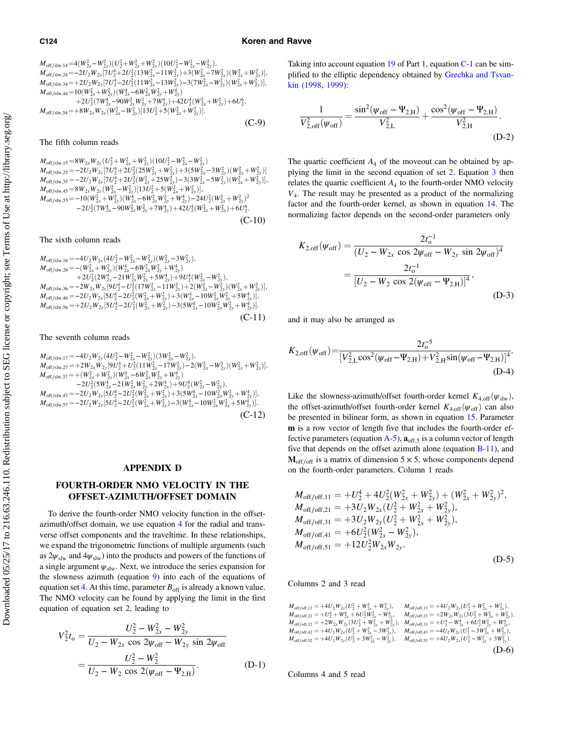(C-9)

<span id="page-11-0"></span> $M_{\text{off/slw},14} = 4(W_{2x}^2-W_{2y}^2)(U_2^2+W_{2x}^2+W_{2y}^2)(10U_2^2-W_{2x}^2-W_{2y}^2),$ <br> $M_{\text{off/slw},14} = 2U_{\text{off}}W_{\text{off}}[7U_1^4 + 2U_2^2(12W_2^2 - 11W_2^2) + 2(W_2^2 - 7W_2^2)]$  $M_{\text{off/slw},24} = -2U_2W_{2x}[7U_2^4+2U_2^2(13W_{2x}^2-11W_{2y}^2)+3(W_{2x}^2-W_{2y}^2)(W_{2x}^2+W_{2y}^2)],$ <br>  $M_{\text{off/slw},24} = -2U_1W_{\text{off}}[7U_2^4+2U_2^2(11W_{2x}^2-12W_{2y}^2)+3(W_{2x}^2-W_{2y}^2)(W_{2x}^2+W_{2y}^2)].$  $M_{\text{off/slw},34} = +2U_2W_{2y}[7U_2^4 - 2U_2^2(11W_{2x}^2 - 13W_{2y}^2) - 3(7W_{2x}^2 - W_{2y}^2)(W_{2x}^2 + W_{2y}^2)],$ <br> $M_{\text{off/slw},34} = +2U_2W_{2y}[7U_2^4 - 2U_2^2(11W_{2x}^2 - 13W_{2y}^2) - 3(7W_{2x}^2 - W_{2y}^2)(W_{2x}^2 + W_{2y}^2)],$  $M_{\text{off/slw},44} = 10(W_{2x}^2 + W_{2y}^2)(W_{2x}^4 - 6W_{2x}^2W_{2y}^2 + W_{2y}^4) + 2U_2^2(TW_{2x}^4 - 90W_{2x}^2W_{2y}^2 + 7W_{2y}^4) + 42U_2^4(W_{2x}^2 + W_{2y}^2) + 6U_2^6,$ <br>  $M_{\text{off/slw}, \text{tot}} = 1.9W_{\text{off}}W_{\text{off}}(W_{2x}^2 - W_{2y}^2) [12U_{2x}^2 + 5(W_{2x}^2 + W$  $M_{\text{off/slw},54} = +8W_{2x}W_{2y}(W_{2x}^2 - W_{2y}^2)[13U_2^2 + 5(W_{2x}^2 + W_{2y}^2)].$ 

The fifth column reads

 $M_{\text{off/slw},25} = 8W_{2x}W_{2y}(U_2^2 + W_{2x}^2 + W_{2y}^2)(10U_2^2 - W_{2x}^2 - W_{2y}^2)$ <br>  $M_{\text{off/slw},25} = -2U_2W_{2y}[7U_2^4 + 2U_2^2(25W_{2x}^2 + W_{2y}^2) + 3(5W_{2x}^2 - 3W_{2y}^2)(W_{2x}^2 + W_{2y}^2)]$ <br>  $M_{\text{off/slw},25} = 2U_1W_2[7U_1^4 + 2U_1^2(W_2^2 + 25W$  $M_{\text{off/slw},35} = -2U_2W_{2x}[7U_2^4+2U_2^2(W_{2x}^2+25W_{2y}^2)-3(3W_{2x}^2-5W_{2y}^2)(W_{2x}^2+W_{2y}^2)],$ <br> $M_{\text{off/slw},35} = -8W_{\text{off/sw}}(W_{2x}^2-W_{2y}^2)$   $[12U_2^2+5(W_{2x}^2-W_{2y}^2)]$  $M_{\text{off/slw},45} = 8W_{2x}W_{2y}(W_{2x}^2 - W_{2y}^2)[13U_2^2 + 5(W_{2x}^2 + W_{2y}^2)],$ <br> $M = 10(W_{2x}^2 + W_{2y}^2)(W_{2x}^4 - 6W_{2x}^2W_{2y}^2 + W_{2y}^4)$  $M_{\text{off/slw,55}} = -10(W_{2x}^2 + W_{2y}^2)(W_{2x}^2 - W_{2y}^2) + W_{2y}^2 + W_{2y}^2) - 2U_2^2(W_{2x}^4 + W_{2y}^2)(W_{2x}^4 - 6W_{2x}^2W_{2y}^2 + W_{2y}^4) - 2U_2^2(W_{2x}^2 + W_{2y}^2)$ <br>  $- 2U_2^2(TW_{2x}^4 - 90W_{2x}^2W_{2y}^2 + 7W_{2y}^4) + 42U_2^4(W_{2x}^2 + W_{2y}^2)$  $(C-10)$ 

The sixth column reads

$$
M_{off/slw,16} = -4U_2W_{2x} (4U_2^2 - W_{2x}^2 - W_{2y}^2)(W_{2x}^2 - 3W_{2y}^2),
$$
  
\n
$$
M_{off/slw,26} = -(W_{2x}^2 + W_{2y}^2)(W_{2x}^4 - 6W_{2x}^2W_{2y}^2 + W_{2y}^4) + 2U_2^2(2W_{2x}^4 - 21W_{2x}^2W_{2y}^2 + 5W_{2y}^4) + 9U_2^4(W_{2x}^2 - W_{2y}^2),
$$
  
\n
$$
M_{off/slw,36} = -2W_{2x}W_{2y}[9U_2^4 - U_2^2(17W_{2x}^2 - 11W_{2y}^2) + 2(W_{2x}^2 - W_{2y}^2)(W_{2x}^2 + W_{2y}^2)],
$$
  
\n
$$
M_{off/slw,46} = -2U_2W_{2x}[5U_2^4 - 2U_2^2(W_{2x}^2 + W_{2y}^2) + 3(W_{2x}^4 - 10W_{2x}^2W_{2y}^2 + 5W_{2y}^4)],
$$
  
\n
$$
M_{off/slw,56} = +2U_2W_{2y}[5U_2^4 - 2U_2^2(W_{2x}^2 + W_{2y}^2) - 3(5W_{2x}^4 - 10W_{2x}^2W_{2y}^2 + W_{2y}^4)].
$$
  
\n(C-11)

#### The seventh column reads

 $M_{\text{off/slw},17} = -4U_2W_{2y}(4U_2^2 - W_{2x}^2 - W_{2y}^2)(3W_{2x}^2 - W_{2y}^2),$ <br>  $M_{\text{off/slw},17} = +2W_{\text{off}}W_{\text{off}}(6U_2^4 + U_2^2)(1W_{\text{off}}^2 - 17W_{\text{off}}^2)$  $M_{\text{off/slw},27} = +2W_{2x}W_{2y}[9U_2^4 + U_2^2(11W_{2x}^2 - 17W_{2y}^2) - 2(W_{2x}^2 - W_{2y}^2)(W_{2x}^2 + W_{2y}^2)],$ <br> $M_{\text{off/slw},27} = + (W_{2x}^2 - W_{2y}^2)(W_{2x}^2 + W_{2y}^2)$  $M_{\text{off/slw},37} = +(W_{2x}^2+W_{2y}^2)(W_{2x}^4 - 6W_{2x}^2W_{2y}^2 + W_{2y}^4)$ <br>  $-2U_2^2(5W_{2x}^4 - 21W_{2x}^2W_{2y}^2 + 2W_{2y}^4) + 9U_2^4(W_{2x}^2 - W_{2y}^2)$ <br>  $M_{\text{eff}} = 2U_1W_{\text{eff}} \frac{[5U_1^4 - 2U_1^2(W_{2x}^2 + W_{2y}^2) + 2(5W_{2x}^4 - 10W_{2x}^2)]}{[1$  $M_{\text{off/slw},47} = -2U_2W_{2y}[5U_2^4 - 2U_2^2(W_{2x}^2 + W_{2y}^2) + 3(5W_{2x}^4 - 10W_{2x}^2W_{2y}^2 + W_{2y}^4)]$ <br>  $M_{\text{off/slw},47} = -2U_1W_{\text{off}}[5U_1^4 - 2U_2^2(W_{2x}^2 + W_{2y}^2) - 2(W_1^4 - 10W_{2x}^2W_{2y}^2 + W_{2y}^4)]$  $M_{\text{off/slw},57} = -2U_2W_{2x}[5U_2^4 - 2U_2^2(W_{2x}^2 + W_{2y}^2) - 3(W_{2x}^4 - 10W_{2x}^2W_{2y}^2 + 5W_{2y}^4)]$ (C-12)

### APPENDIX D

## FOURTH-ORDER NMO VELOCITY IN THE OFFSET-AZIMUTH/OFFSET DOMAIN

To derive the fourth-order NMO velocity function in the offsetazimuth/offset domain, we use equation [4](#page-2-0) for the radial and transverse offset components and the traveltime. In these relationships, we expand the trigonometric functions of multiple arguments (such as  $2\psi_{\rm slw}$  and  $4\psi_{\rm slw}$ ) into the products and powers of the functions of a single argument  $\psi_{\rm slw}$ . Next, we introduce the series expansion for the slowness azimuth (equation [9](#page-3-0)) into each of the equations of equation set [4](#page-2-0). At this time, parameter  $B_{\text{off}}$  is already a known value. The NMO velocity can be found by applying the limit in the first equation of equation set [2](#page-1-0), leading to

$$
V_2^2 t_0 = \frac{U_2^2 - W_{2x}^2 - W_{2y}^2}{U_2 - W_{2x} \cos 2\psi_{\text{off}} - W_{2y} \sin 2\psi_{\text{off}}}
$$
  
= 
$$
\frac{U_2^2 - W_2^2}{U_2 - W_2 \cos 2(\psi_{\text{off}} - \Psi_{2,\text{H}})}.
$$
 (D-1)

Taking into account equation [19](#page-4-0) of Part 1, equation [C-1](#page-10-0) can be simplified to the elliptic dependency obtained by [Grechka and Tsvan](#page-19-0)[kin \(1998](#page-19-0), [1999\)](#page-19-0):

$$
\frac{1}{V_{2,off}^2(\psi_{off})} = \frac{\sin^2(\psi_{off} - \Psi_{2,H})}{V_{2,L}^2} + \frac{\cos^2(\psi_{off} - \Psi_{2,H})}{V_{2,H}^2}.
$$
\n(D-2)

The quartic coefficient  $A_4$  of the moveout can be obtained by applying the limit in the second equation of set [2.](#page-1-0) Equation [3](#page-2-0) then relates the quartic coefficient  $A_4$  to the fourth-order NMO velocity  $V<sub>4</sub>$ . The result may be presented as a product of the normalizing factor and the fourth-order kernel, as shown in equation [14.](#page-3-0) The normalizing factor depends on the second-order parameters only

$$
K_{2,\text{off}}(\psi_{\text{off}}) = \frac{2t_0^{-1}}{(U_2 - W_{2x} \cos 2\psi_{\text{off}} - W_{2y} \sin 2\psi_{\text{off}})^4}
$$
  
= 
$$
\frac{2t_0^{-1}}{[U_2 - W_2 \cos 2(\psi_{\text{off}} - \Psi_{2,\text{H}})]^4},
$$
 (D-3)

and it may also be arranged as

$$
K_{2,\text{off}}(\psi_{\text{off}}) = \frac{2t_0^{-5}}{[V_{2,\text{L}}^2 \cos^2(\psi_{\text{off}} - \Psi_{2,\text{H}}) + V_{2,\text{H}}^2 \sin(\psi_{\text{off}} - \Psi_{2,\text{H}})]^4}.
$$
\n(D-4)

Like the slowness-azimuth/offset fourth-order kernel  $K_{4,off}(\psi_{\text{slw}})$ , the offset-azimuth/offset fourth-order kernel  $K_{4,off}(\psi_{off})$  can also be presented in bilinear form, as shown in equation [15](#page-3-0). Parameter m is a row vector of length five that includes the fourth-order effective parameters (equation  $A-5$ ),  $a_{off,5}$  is a column vector of length five that depends on the offset azimuth alone (equation [B-11](#page-9-0)), and  $M_{off/off}$  is a matrix of dimension 5  $\times$  5, whose components depend on the fourth-order parameters. Column 1 reads

$$
M_{off/off,11} = +U_2^4 + 4U_2^2(W_{2x}^2 + W_{2y}^2) + (W_{2x}^2 + W_{2y}^2)^2,
$$
  
\n
$$
M_{off/off,21} = +3U_2W_{2x}(U_2^2 + W_{2x}^2 + W_{2y}^2),
$$
  
\n
$$
M_{off/off,31} = +3U_2W_{2y}(U_2^2 + W_{2x}^2 + W_{2y}^2),
$$
  
\n
$$
M_{off/off,41} = +6U_2^2(W_{2x}^2 - W_{2y}^2),
$$
  
\n
$$
M_{off/off,51} = +12U_2^2W_{2x}W_{2y}.
$$
  
\n(D-5)

#### Columns 2 and 3 read

$$
M_{off/off,12} = +U_2 W_{2x} (U_2^2 + W_{2x}^2 + W_2^2),
$$
  
\n
$$
M_{off/off,22} = +U_2^4 + W_{2x}^4 + 6U_2^2 W_{2x}^2 - W_{2y}^4,
$$
  
\n
$$
M_{off/off,22} = +U_2^4 + W_{2x}^4 + 6U_2^2 W_{2x}^2 - W_{2y}^4,
$$
  
\n
$$
M_{off/off,32} = +2W_{2x} W_{2y} (3U_2^2 + W_{2x}^2 + W_{2y}^2),
$$
  
\n
$$
M_{off/off,22} = +2W_{2x} W_{2y} (3U_2^2 + W_{2x}^2 + W_{2y}^2),
$$
  
\n
$$
M_{off/off,42} = +4U_2 W_{2x} (U_2^2 + W_{2x}^2 - 3W_{2y}^2),
$$
  
\n
$$
M_{off/off,52} = +4U_2 W_{2y} (U_2^2 + 3W_{2x}^2 - W_{2y}^2),
$$
  
\n
$$
M_{off/off,52} = +4U_2 W_{2y} (U_2^2 + 3W_{2x}^2 - W_{2y}^2),
$$
  
\n
$$
M_{off/off,52} = +4U_2 W_{2y} (U_2^2 + 3W_{2x}^2 - W_{2y}^2),
$$
  
\n
$$
M_{off/off,53} = +4U_2 W_{2x} (U_2^2 - W_{2x}^2 + 3W_{2y}^2).
$$
  
\n(D-6)

Columns 4 and 5 read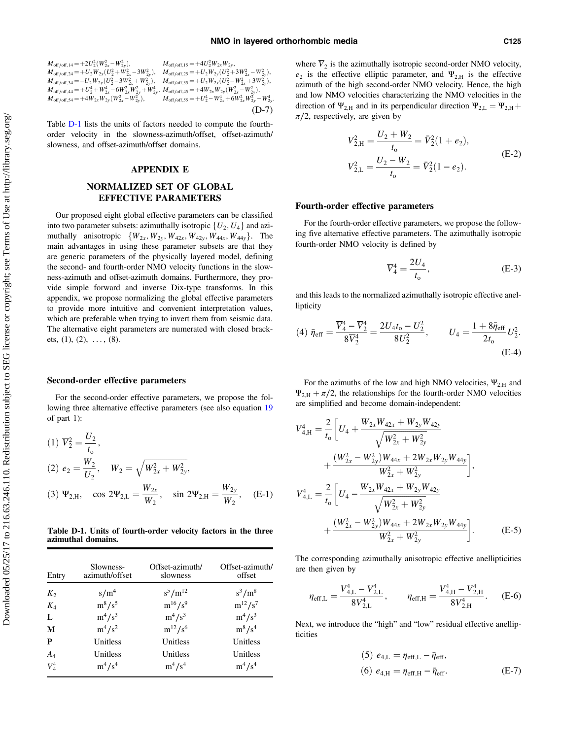<span id="page-12-0"></span>
$$
\begin{array}{ll} M_{\rm off/off,14} = + 2 U_2^2 (W_{2x}^2 - W_{2y}^2), & M_{\rm off/off,15} = + 4 U_2^2 W_{2x} W_{2y}, \\ M_{\rm off/off,24} = + U_2 W_{2x} (U_2^2 + W_{2x}^2 - 3 W_{2y}^2), & M_{\rm off/off,25} = + U_2 W_{2y} (U_2^2 + 3 W_{2x}^2 - W_{2y}^2), \\ M_{\rm off/off,34} = - U_2 W_{2y} (U_2^2 - 3 W_{2x}^2 + W_{2y}^2), & M_{\rm off/off,35} = + U_2 W_{2x} (U_2^2 - W_{2x}^2 + 3 W_{2y}^2), \\ M_{\rm off/off,44} = + U_2^4 + W_{2x}^4 - 6 W_{2x}^2 W_{2y}^2 + W_{2y}^4, & M_{\rm off/off,45} = + 4 W_{2x} W_{2y} (W_{2x}^2 - W_{2y}^2), \\ M_{\rm off/off,54} = + 4 W_{2x} W_{2y} (W_{2x}^2 - W_{2y}^2), & M_{\rm off/off,55} = + U_2^4 - W_{2x}^4 + 6 W_{2x}^2 W_{2y}^2 - W_{2y}^4. \end{array} \tag{D-7}
$$

Table D-1 lists the units of factors needed to compute the fourthorder velocity in the slowness-azimuth/offset, offset-azimuth/ slowness, and offset-azimuth/offset domains.

#### APPENDIX E

### NORMALIZED SET OF GLOBAL EFFECTIVE PARAMETERS

Our proposed eight global effective parameters can be classified into two parameter subsets: azimuthally isotropic  $\{U_2, U_4\}$  and azimuthally anisotropic  $\{W_{2x}, W_{2y}, W_{42x}, W_{42y}, W_{44x}, W_{44y}\}.$  The main advantages in using these parameter subsets are that they are generic parameters of the physically layered model, defining the second- and fourth-order NMO velocity functions in the slowness-azimuth and offset-azimuth domains. Furthermore, they provide simple forward and inverse Dix-type transforms. In this appendix, we propose normalizing the global effective parameters to provide more intuitive and convenient interpretation values, which are preferable when trying to invert them from seismic data. The alternative eight parameters are numerated with closed brackets,  $(1)$ ,  $(2)$ ,  $\dots$ ,  $(8)$ .

#### Second-order effective parameters

For the second-order effective parameters, we propose the following three alternative effective parameters (see also equation [19](#page-4-0) of part 1):

(1) 
$$
\overline{V}_2^2 = \frac{U_2}{t_0}
$$
,  
\n(2)  $e_2 = \frac{W_2}{U_2}$ ,  $W_2 = \sqrt{W_{2x}^2 + W_{2y}^2}$ ,  
\n(3)  $\Psi_{2,H}$ ,  $\cos 2\Psi_{2,L} = \frac{W_{2x}}{W_2}$ ,  $\sin 2\Psi_{2,H} = \frac{W_{2y}}{W_2}$ , (E-1)

Table D-1. Units of fourth-order velocity factors in the three azimuthal domains.

| Entry   | Slowness-<br>azimuth/offset | Offset-azimuth/<br>slowness | Offset-azimuth/<br>offset |
|---------|-----------------------------|-----------------------------|---------------------------|
| $K_2$   | s/m <sup>4</sup>            | $s^5/m^{12}$                | $s^3/m^8$                 |
| $K_4$   | $m^8/s^5$                   | $m^{16}/s^9$                | $m^{12}/s^7$              |
| L       | $m^4/s^3$                   | $m^4/s^3$                   | $m^4/s^3$                 |
| M       | $m^4/s^2$                   | $m^{12}/s^6$                | $m^8/s^4$                 |
| P       | Unitless                    | Unitless                    | Unitless                  |
| $A_4$   | Unitless                    | Unitless                    | Unitless                  |
| $V_4^4$ | $m^4/s^4$                   | $m^4/s^4$                   | $m^4/s^4$                 |

where  $\overline{V}_2$  is the azimuthally isotropic second-order NMO velocity,  $e_2$  is the effective elliptic parameter, and  $\Psi_{2,H}$  is the effective azimuth of the high second-order NMO velocity. Hence, the high and low NMO velocities characterizing the NMO velocities in the direction of  $\Psi_{2,H}$  and in its perpendicular direction  $\Psi_{2,L} = \Psi_{2,H} + \Psi_{2,H}$  $\pi/2$ , respectively, are given by

$$
V_{2,H}^{2} = \frac{U_{2} + W_{2}}{t_{o}} = \bar{V}_{2}^{2}(1 + e_{2}),
$$
  
\n
$$
V_{2,L}^{2} = \frac{U_{2} - W_{2}}{t_{o}} = \bar{V}_{2}^{2}(1 - e_{2}).
$$
\n(E-2)

#### Fourth-order effective parameters

For the fourth-order effective parameters, we propose the following five alternative effective parameters. The azimuthally isotropic fourth-order NMO velocity is defined by

$$
\overline{V}_4^4 = \frac{2U_4}{t_0},\tag{E-3}
$$

and this leads to the normalized azimuthally isotropic effective anellipticity

(4) 
$$
\bar{\eta}_{eff} = \frac{\overline{V}_4^4 - \overline{V}_2^4}{8\overline{V}_2^4} = \frac{2U_4t_0 - U_2^2}{8U_2^2}, \qquad U_4 = \frac{1 + 8\bar{\eta}_{eff}}{2t_0}U_2^2.
$$
 (E-4)

For the azimuths of the low and high NMO velocities,  $\Psi_{2,H}$  and  $\Psi_{2,H} + \pi/2$ , the relationships for the fourth-order NMO velocities are simplified and become domain-independent:

$$
V_{4,H}^{4} = \frac{2}{t_{o}} \left[ U_{4} + \frac{W_{2x}W_{42x} + W_{2y}W_{42y}}{\sqrt{W_{2x}^{2} + W_{2y}^{2}}} + \frac{(W_{2x}^{2} - W_{2y}^{2})W_{44x} + 2W_{2x}W_{2y}W_{44y}}{W_{2x}^{2} + W_{2y}^{2}} \right],
$$
  

$$
V_{4,L}^{4} = \frac{2}{t_{o}} \left[ U_{4} - \frac{W_{2x}W_{42x} + W_{2y}W_{42y}}{\sqrt{W_{2x}^{2} + W_{2y}^{2}}} + \frac{(W_{2x}^{2} - W_{2y}^{2})W_{44x} + 2W_{2x}W_{2y}W_{44y}}{W_{2x}^{2} + W_{2y}^{2}} \right].
$$
 (E-5)

The corresponding azimuthally anisotropic effective anellipticities are then given by

$$
\eta_{\text{eff},\text{L}} = \frac{V_{4,\text{L}}^4 - V_{2,\text{L}}^4}{8V_{2,\text{L}}^4}, \qquad \eta_{\text{eff},\text{H}} = \frac{V_{4,\text{H}}^4 - V_{2,\text{H}}^4}{8V_{2,\text{H}}^4}.
$$
 (E-6)

Next, we introduce the "high" and "low" residual effective anellipticities

(5) 
$$
e_{4,L} = \eta_{eff,L} - \bar{\eta}_{eff}
$$
,  
(6)  $e_{4,H} = \eta_{eff,H} - \bar{\eta}_{eff}$ . (E-7)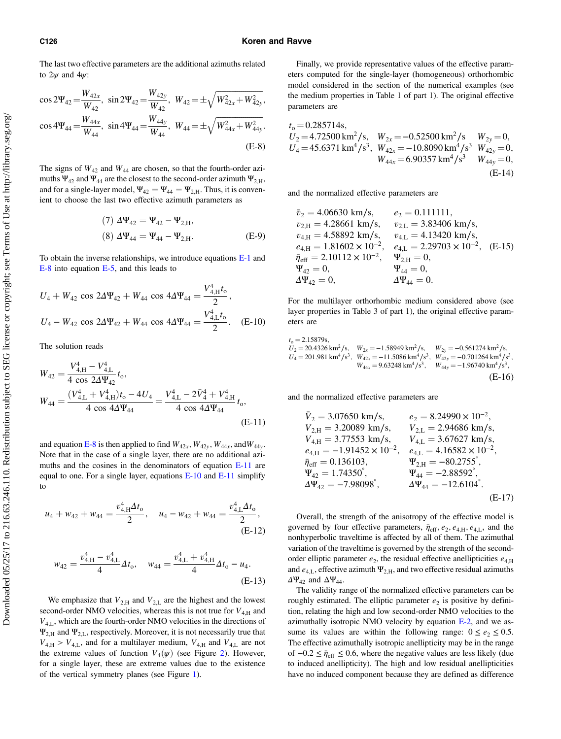#### <span id="page-13-0"></span>C126 Koren and Ravve

The last two effective parameters are the additional azimuths related to  $2\nu$  and  $4\nu$ :

$$
\cos 2\Psi_{42} = \frac{W_{42x}}{W_{42}}, \sin 2\Psi_{42} = \frac{W_{42y}}{W_{42}}, \quad W_{42} = \pm \sqrt{W_{42x}^2 + W_{42y}^2},
$$

$$
\cos 4\Psi_{44} = \frac{W_{44x}}{W_{44}}, \quad \sin 4\Psi_{44} = \frac{W_{44y}}{W_{44}}, \quad W_{44} = \pm \sqrt{W_{44x}^2 + W_{44y}^2}.
$$
(E-8)

The signs of  $W_{42}$  and  $W_{44}$  are chosen, so that the fourth-order azimuths  $\Psi_{42}$  and  $\Psi_{44}$  are the closest to the second-order azimuth  $\Psi_{2,H}$ , and for a single-layer model,  $\Psi_{42} = \Psi_{44} = \Psi_{2,H}$ . Thus, it is convenient to choose the last two effective azimuth parameters as

(7) 
$$
\Delta \Psi_{42} = \Psi_{42} - \Psi_{2,H}
$$
,  
\n(8)  $\Delta \Psi_{44} = \Psi_{44} - \Psi_{2,H}$ . (E-9)

To obtain the inverse relationships, we introduce equations [E-1](#page-12-0) and E-8 into equation [E-5](#page-12-0), and this leads to

$$
U_4 + W_{42} \cos 2\Delta \Psi_{42} + W_{44} \cos 4\Delta \Psi_{44} = \frac{V_{4,H}^4 t_0}{2},
$$
  

$$
U_4 - W_{42} \cos 2\Delta \Psi_{42} + W_{44} \cos 4\Delta \Psi_{44} = \frac{V_{4,L}^4 t_0}{2}.
$$
 (E-10)

The solution reads

$$
W_{42} = \frac{V_{4,H}^4 - V_{4,L}^4}{4 \cos 2\Delta\Psi_{42}} t_0,
$$
  
\n
$$
W_{44} = \frac{(V_{4,L}^4 + V_{4,H}^4)t_0 - 4U_4}{4 \cos 4\Delta\Psi_{44}} = \frac{V_{4,L}^4 - 2\bar{V}_4^4 + V_{4,H}^4}{4 \cos 4\Delta\Psi_{44}} t_0,
$$
\n(E-11)

and equation E-8 is then applied to find  $W_{42x}$ ,  $W_{42y}$ ,  $W_{44x}$ , and  $W_{44y}$ . Note that in the case of a single layer, there are no additional azimuths and the cosines in the denominators of equation E-11 are equal to one. For a single layer, equations E-10 and E-11 simplify to

$$
u_4 + w_{42} + w_{44} = \frac{v_{4,H}^4 \Delta t_0}{2}, \quad u_4 - w_{42} + w_{44} = \frac{v_{4,L}^4 \Delta t_0}{2},
$$
\n(E-12)

$$
w_{42} = \frac{v_{4,H}^4 - v_{4,L}^4}{4} \Delta t_0, \quad w_{44} = \frac{v_{4,L}^4 + v_{4,H}^4}{4} \Delta t_0 - u_4.
$$
\n(E-13)

We emphasize that  $V_{2,H}$  and  $V_{2,L}$  are the highest and the lowest second-order NMO velocities, whereas this is not true for  $V_{4,H}$  and  $V_{4,L}$ , which are the fourth-order NMO velocities in the directions of  $\Psi_{2,H}$  and  $\Psi_{2,L}$ , respectively. Moreover, it is not necessarily true that  $V_{4,H} > V_{4,L}$ , and for a multilayer medium,  $V_{4,H}$  and  $V_{4,L}$  are not the extreme values of function  $V_4(\psi)$  (see Figure [2\)](#page-5-0). However, for a single layer, these are extreme values due to the existence of the vertical symmetry planes (see Figure [1](#page-5-0)).

Finally, we provide representative values of the effective parameters computed for the single-layer (homogeneous) orthorhombic model considered in the section of the numerical examples (see the medium properties in Table 1 of part 1). The original effective parameters are

$$
t_0 = 0.285714s,
$$
  
\n $U_2 = 4.72500 \text{ km}^2/\text{s}, W_{2x} = -0.52500 \text{ km}^2/\text{s}, W_{2y} = 0,$   
\n $U_4 = 45.6371 \text{ km}^4/\text{s}^3, W_{42x} = -10.8090 \text{ km}^4/\text{s}^3 W_{42y} = 0,$   
\n $W_{44x} = 6.90357 \text{ km}^4/\text{s}^3 W_{44y} = 0,$   
\n(E-14)

and the normalized effective parameters are

$$
\begin{array}{llll} & \bar{v}_2 = 4.06630 \text{ km/s}, & e_2 = 0.111111, \\ & v_{2,H} = 4.28661 \text{ km/s}, & v_{2,L} = 3.83406 \text{ km/s}, \\ & v_{4,H} = 4.58892 \text{ km/s}, & v_{4,L} = 4.13420 \text{ km/s}, \\ & e_{4,H} = 1.81602 \times 10^{-2}, & e_{4,L} = 2.29703 \times 10^{-2}, & (E-15) \\ & \bar{\eta}_{eff} = 2.10112 \times 10^{-2}, & \Psi_{2,H} = 0, \\ & \Psi_{42} = 0, & \Psi_{44} = 0, \\ & \Delta \Psi_{42} = 0, & \Delta \Psi_{44} = 0. \end{array}
$$

For the multilayer orthorhombic medium considered above (see layer properties in Table 3 of part 1), the original effective parameters are

$$
t_0 = 2.15879s,
$$
  
\n $U_2 = 20.4326 \text{ km}^2/\text{s}, W_{2x} = -1.58949 \text{ km}^2/\text{s}, W_{2y} = -0.561274 \text{ km}^2/\text{s},$   
\n $U_4 = 201.981 \text{ km}^4/\text{s}^3, W_{42x} = -11.5086 \text{ km}^4/\text{s}^3, W_{42y} = -0.701264 \text{ km}^4/\text{s}^3,$   
\n $W_{44x} = 9.63248 \text{ km}^4/\text{s}^3, W_{44y} = -1.96740 \text{ km}^4/\text{s}^3,$   
\n(E-16)

and the normalized effective parameters are

$$
\bar{V}_{2} = 3.07650 \text{ km/s}, \qquad e_2 = 8.24990 \times 10^{-2},
$$
\n
$$
V_{2,H} = 3.20089 \text{ km/s}, \qquad V_{2,L} = 2.94686 \text{ km/s},
$$
\n
$$
V_{4,H} = 3.77553 \text{ km/s}, \qquad V_{4,L} = 3.67627 \text{ km/s},
$$
\n
$$
e_{4,H} = -1.91452 \times 10^{-2}, \qquad e_{4,L} = 4.16582 \times 10^{-2},
$$
\n
$$
\bar{\eta}_{eff} = 0.136103, \qquad \Psi_{2,H} = -80.2755^{\circ},
$$
\n
$$
\Psi_{42} = 1.74350^{\circ}, \qquad \Psi_{44} = -2.88592^{\circ},
$$
\n
$$
\Delta \Psi_{42} = -7.98098^{\circ}, \qquad \Delta \Psi_{44} = -12.6104^{\circ}.
$$
\n(E-17)

Overall, the strength of the anisotropy of the effective model is governed by four effective parameters,  $\bar{\eta}_{\text{eff}}$ ,  $e_2$ ,  $e_{4,H}$ ,  $e_{4,L}$ , and the nonhyperbolic traveltime is affected by all of them. The azimuthal variation of the traveltime is governed by the strength of the secondorder elliptic parameter  $e_2$ , the residual effective anellipticities  $e_{4,H}$ and  $e_{4,L}$ , effective azimuth  $\Psi_{2,H}$ , and two effective residual azimuths  $\Delta \Psi_{42}$  and  $\Delta \Psi_{44}$ .

The validity range of the normalized effective parameters can be roughly estimated. The elliptic parameter  $e_2$  is positive by definition, relating the high and low second-order NMO velocities to the azimuthally isotropic NMO velocity by equation [E-2,](#page-12-0) and we assume its values are within the following range:  $0 \le e_2 \le 0.5$ . The effective azimuthally isotropic anellipticity may be in the range of  $-0.2 \le \bar{\eta}_{eff} \le 0.6$ , where the negative values are less likely (due to induced anellipticity). The high and low residual anellipticities have no induced component because they are defined as difference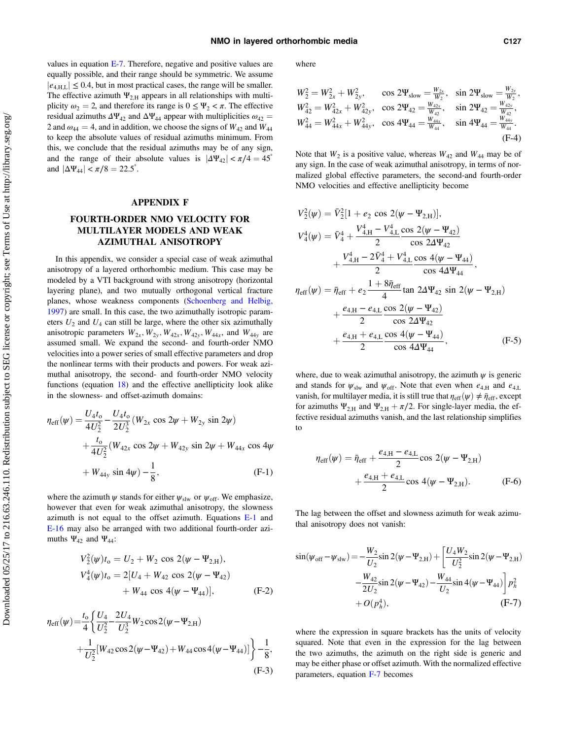<span id="page-14-0"></span>values in equation [E-7.](#page-12-0) Therefore, negative and positive values are equally possible, and their range should be symmetric. We assume  $|e_{4,\text{HL}}| \leq 0.4$ , but in most practical cases, the range will be smaller. The effective azimuth  $\Psi_{2H}$  appears in all relationships with multiplicity  $\omega_2 = 2$ , and therefore its range is  $0 \le \Psi_2 < \pi$ . The effective residual azimuths  $\Delta \Psi_{42}$  and  $\Delta \Psi_{44}$  appear with multiplicities  $\omega_{42}$  = 2 and  $\omega_{44} = 4$ , and in addition, we choose the signs of  $W_{42}$  and  $W_{44}$ to keep the absolute values of residual azimuths minimum. From this, we conclude that the residual azimuths may be of any sign, and the range of their absolute values is  $|\Delta \Psi_{42}| < \pi/4 = 45^\circ$ and  $|\Delta \Psi_{44}| < \pi/8 = 22.5^{\circ}$ .

### APPENDIX F

## FOURTH-ORDER NMO VELOCITY FOR MULTILAYER MODELS AND WEAK AZIMUTHAL ANISOTROPY

In this appendix, we consider a special case of weak azimuthal anisotropy of a layered orthorhombic medium. This case may be modeled by a VTI background with strong anisotropy (horizontal layering plane), and two mutually orthogonal vertical fracture planes, whose weakness components ([Schoenberg and Helbig,](#page-19-0) [1997\)](#page-19-0) are small. In this case, the two azimuthally isotropic parameters  $U_2$  and  $U_4$  can still be large, where the other six azimuthally anisotropic parameters  $W_{2x}$ ,  $W_{2y}$ ,  $W_{42x}$ ,  $W_{44y}$ , and  $W_{44y}$  are assumed small. We expand the second- and fourth-order NMO velocities into a power series of small effective parameters and drop the nonlinear terms with their products and powers. For weak azimuthal anisotropy, the second- and fourth-order NMO velocity functions (equation [18](#page-4-0)) and the effective anellipticity look alike in the slowness- and offset-azimuth domains:

$$
\eta_{\text{eff}}(\psi) = \frac{U_4 t_0}{4U_2^2} - \frac{U_4 t_0}{2U_2^3} (W_{2x} \cos 2\psi + W_{2y} \sin 2\psi) \n+ \frac{t_0}{4U_2^2} (W_{42x} \cos 2\psi + W_{42y} \sin 2\psi + W_{44x} \cos 4\psi \n+ W_{44y} \sin 4\psi) - \frac{1}{8},
$$
\n(F-1)

where the azimuth  $\psi$  stands for either  $\psi_{\rm slw}$  or  $\psi_{\rm off}$ . We emphasize, however that even for weak azimuthal anisotropy, the slowness azimuth is not equal to the offset azimuth. Equations [E-1](#page-12-0) and [E-16](#page-13-0) may also be arranged with two additional fourth-order azimuths  $\Psi_{42}$  and  $\Psi_{44}$ :

$$
V_2^2(\psi)t_0 = U_2 + W_2 \cos 2(\psi - \Psi_{2,H}),
$$
  
\n
$$
V_4^4(\psi)t_0 = 2[U_4 + W_{42} \cos 2(\psi - \Psi_{42}) + W_{44} \cos 4(\psi - \Psi_{44})],
$$
 (F-2)

$$
\eta_{\text{eff}}(\psi) = \frac{t_0}{4} \left\{ \frac{U_4}{U_2^2} - \frac{2U_4}{U_2^3} W_2 \cos 2(\psi - \Psi_{2,\text{H}}) + \frac{1}{U_2^2} [W_{42} \cos 2(\psi - \Psi_{42}) + W_{44} \cos 4(\psi - \Psi_{44})] \right\} - \frac{1}{8},
$$
\n(F-3)

where

$$
W_2^2 = W_{2x}^2 + W_{2y}^2, \t\t\cos 2\Psi_{slow} = \frac{W_{2x}}{W_2}, \t\sin 2\Psi_{slow} = \frac{W_{2y}}{W_2},
$$
  
\n
$$
W_{42}^2 = W_{42x}^2 + W_{42y}^2, \t\cos 2\Psi_{42} = \frac{W_{42x}}{W_{42}}, \t\sin 2\Psi_{42} = \frac{W_{42y}}{W_{42}},
$$
  
\n
$$
W_{44}^2 = W_{44x}^2 + W_{44y}^2, \t\cos 4\Psi_{44} = \frac{W_{44x}}{W_{44}}, \t\sin 4\Psi_{44} = \frac{W_{44y}}{W_{44}}.
$$
  
\n(F-4)

Note that  $W_2$  is a positive value, whereas  $W_{42}$  and  $W_{44}$  may be of any sign. In the case of weak azimuthal anisotropy, in terms of normalized global effective parameters, the second-and fourth-order NMO velocities and effective anellipticity become

$$
V_2^2(\psi) = \bar{V}_2^2[1 + e_2 \cos 2(\psi - \Psi_{2,H})],
$$
  
\n
$$
V_4^4(\psi) = \bar{V}_4^4 + \frac{V_{4,H}^4 - V_{4,L}^4 \cos 2(\psi - \Psi_{42})}{2} \cos 2\Delta\Psi_{42} + \frac{V_{4,H}^4 - 2\bar{V}_4^4 + V_{4,L}^4 \cos 4(\psi - \Psi_{44})}{2} \cos 4\Delta\Psi_{44},
$$
  
\n
$$
\eta_{eff}(\psi) = \bar{\eta}_{eff} + e_2 \frac{1 + 8\bar{\eta}_{eff}}{4} \tan 2\Delta\Psi_{42} \sin 2(\psi - \Psi_{2,H}) + \frac{e_{4,H} - e_{4,L}}{2} \frac{\cos 2(\psi - \Psi_{42})}{\cos 2\Delta\Psi_{42}} + \frac{e_{4,H} + e_{4,L}}{2} \frac{\cos 4(\psi - \Psi_{44})}{\cos 4\Delta\Psi_{44}},
$$
(F-5)

where, due to weak azimuthal anisotropy, the azimuth  $\psi$  is generic and stands for  $\psi_{\rm slw}$  and  $\psi_{\rm off}$ . Note that even when  $e_{4,H}$  and  $e_{4,L}$ vanish, for multilayer media, it is still true that  $\eta_{\text{eff}}(\psi) \neq \bar{\eta}_{\text{eff}}$ , except for azimuths  $\Psi_{2,H}$  and  $\Psi_{2,H} + \pi/2$ . For single-layer media, the effective residual azimuths vanish, and the last relationship simplifies to

$$
\eta_{\text{eff}}(\psi) = \bar{\eta}_{\text{eff}} + \frac{e_{4,H} - e_{4,L}}{2} \cos 2(\psi - \Psi_{2,H})
$$

$$
+ \frac{e_{4,H} + e_{4,L}}{2} \cos 4(\psi - \Psi_{2,H}). \tag{F-6}
$$

The lag between the offset and slowness azimuth for weak azimuthal anisotropy does not vanish:

$$
\sin(\psi_{\text{off}} - \psi_{\text{slw}}) = -\frac{W_2}{U_2} \sin 2(\psi - \Psi_{2,\text{H}}) + \left[ \frac{U_4 W_2}{U_2^2} \sin 2(\psi - \Psi_{2,\text{H}}) \right. \left. -\frac{W_{42}}{2U_2} \sin 2(\psi - \Psi_{42}) - \frac{W_{44}}{U_2} \sin 4(\psi - \Psi_{44}) \right] p_h^2 \left. + O(p_h^4), \right.
$$
 (F-7)

where the expression in square brackets has the units of velocity squared. Note that even in the expression for the lag between the two azimuths, the azimuth on the right side is generic and may be either phase or offset azimuth. With the normalized effective parameters, equation F-7 becomes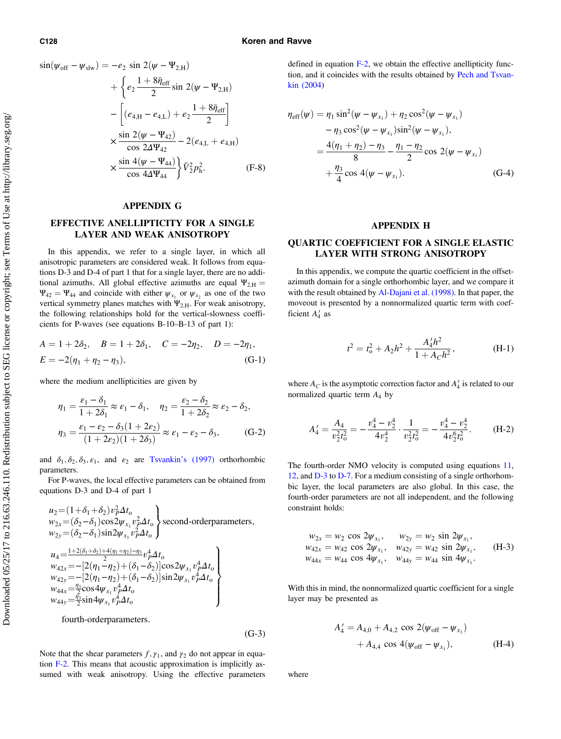#### <span id="page-15-0"></span>C128 Koren and Ravve

$$
\sin(\psi_{\text{off}} - \psi_{\text{slw}}) = -e_2 \sin 2(\psi - \Psi_{2,\text{H}}) \n+ \left\{ e_2 \frac{1 + 8\bar{\eta}_{\text{eff}}}{2} \sin 2(\psi - \Psi_{2,\text{H}}) \right. \n- \left[ (e_{4,\text{H}} - e_{4,\text{L}}) + e_2 \frac{1 + 8\bar{\eta}_{\text{eff}}}{2} \right] \n\times \frac{\sin 2(\psi - \Psi_{42})}{\cos 2\Delta\Psi_{42}} - 2(e_{4,\text{L}} + e_{4,\text{H}}) \n\times \frac{\sin 4(\psi - \Psi_{44})}{\cos 4\Delta\Psi_{44}} \right\} \bar{V}_2^2 p_h^2.
$$
\n(F-8)

#### APPENDIX G

## EFFECTIVE ANELLIPTICITY FOR A SINGLE LAYER AND WEAK ANISOTROPY

In this appendix, we refer to a single layer, in which all anisotropic parameters are considered weak. It follows from equations D-3 and D-4 of part 1 that for a single layer, there are no additional azimuths. All global effective azimuths are equal  $\Psi_{2,H}$  =  $\Psi_{42} = \Psi_{44}$  and coincide with either  $\psi_{x_1}$  or  $\psi_{x_2}$  as one of the two vertical symmetry planes matches with  $\Psi_{2,H}$ . For weak anisotropy, the following relationships hold for the vertical-slowness coefficients for P-waves (see equations B-10–B-13 of part 1):

$$
A = 1 + 2\delta_2, \quad B = 1 + 2\delta_1, \quad C = -2\eta_2, \quad D = -2\eta_1,
$$
  

$$
E = -2(\eta_1 + \eta_2 - \eta_3), \quad (G-1)
$$

where the medium anellipticities are given by

$$
\eta_1 = \frac{\varepsilon_1 - \delta_1}{1 + 2\delta_1} \approx \varepsilon_1 - \delta_1, \quad \eta_2 = \frac{\varepsilon_2 - \delta_2}{1 + 2\delta_2} \approx \varepsilon_2 - \delta_2,
$$

$$
\eta_3 = \frac{\varepsilon_1 - \varepsilon_2 - \delta_3(1 + 2\varepsilon_2)}{(1 + 2\varepsilon_2)(1 + 2\delta_3)} \approx \varepsilon_1 - \varepsilon_2 - \delta_3,
$$
(G-2)

and  $\delta_1, \delta_2, \delta_3, \epsilon_1$ , and  $\epsilon_2$  are Tsvankin'[s \(1997\)](#page-19-0) orthorhombic parameters.

For P-waves, the local effective parameters can be obtained from equations D-3 and D-4 of part 1

$$
u_2 = (1 + \delta_1 + \delta_2) v_P^2 \Delta t_0
$$
  
\n
$$
w_{2x} = (\delta_2 - \delta_1) \cos 2\psi_{x_1} v_P^2 \Delta t_0
$$
  
\n
$$
w_{2y} = (\delta_2 - \delta_1) \sin 2\psi_{x_1} v_P^2 \Delta t_0
$$
  
\n
$$
u_4 = \frac{1 + 2(\delta_1 + \delta_2) + 4(\eta_1 + \eta_2) - \eta_3}{2} v_P^4 \Delta t_0
$$
  
\n
$$
w_{42x} = -[2(\eta_1 - \eta_2) + (\delta_1 - \delta_2)] \cos 2\psi_{x_1} v_P^4 \Delta t_0
$$
  
\n
$$
w_{42y} = -[2(\eta_1 - \eta_2) + (\delta_1 - \delta_2)] \sin 2\psi_{x_1} v_P^4 \Delta t_0
$$
  
\n
$$
w_{44x} = \frac{\eta_3}{2} \cos 4\psi_{x_1} v_P^4 \Delta t_0
$$
  
\n
$$
w_{44y} = \frac{\eta_3}{2} \sin 4\psi_{x_1} v_P^4 \Delta t_0
$$

fourth-orderparameters:

$$
(G-3)
$$

Note that the shear parameters  $f, \gamma_1$ , and  $\gamma_2$  do not appear in equation [F-2](#page-14-0). This means that acoustic approximation is implicitly assumed with weak anisotropy. Using the effective parameters defined in equation [F-2,](#page-14-0) we obtain the effective anellipticity function, and it coincides with the results obtained by [Pech and Tsvan](#page-19-0)[kin \(2004](#page-19-0))

$$
\eta_{eff}(\psi) = \eta_1 \sin^2(\psi - \psi_{x_1}) + \eta_2 \cos^2(\psi - \psi_{x_1}) \n- \eta_3 \cos^2(\psi - \psi_{x_1}) \sin^2(\psi - \psi_{x_1}), \n= \frac{4(\eta_1 + \eta_2) - \eta_3}{8} - \frac{\eta_1 - \eta_2}{2} \cos 2(\psi - \psi_{x_1}) \n+ \frac{\eta_3}{4} \cos 4(\psi - \psi_{x_1}).
$$
\n(G-4)

### APPENDIX H

## QUARTIC COEFFICIENT FOR A SINGLE ELASTIC LAYER WITH STRONG ANISOTROPY

In this appendix, we compute the quartic coefficient in the offsetazimuth domain for a single orthorhombic layer, and we compare it with the result obtained by [Al-Dajani et al. \(1998\).](#page-19-0) In that paper, the moveout is presented by a nonnormalized quartic term with coefficient  $A'_4$  as

$$
t^{2} = t_{0}^{2} + A_{2}h^{2} + \frac{A'_{4}h^{2}}{1 + A_{C}h^{2}},
$$
 (H-1)

where  $A_C$  is the asymptotic correction factor and  $A'_4$  is related to our normalized quartic term  $A_4$  by

$$
A'_4 = \frac{A_4}{v_2^2 t_0^2} = -\frac{v_4^4 - v_2^4}{4v_2^4} \cdot \frac{1}{v_2^2 t_0^2} = -\frac{v_4^4 - v_2^4}{4v_2^6 t_0^2}.
$$
 (H-2)

The fourth-order NMO velocity is computed using equations [11,](#page-3-0) [12,](#page-3-0) and [D-3](#page-11-0) to [D-7.](#page-11-0) For a medium consisting of a single orthorhombic layer, the local parameters are also global. In this case, the fourth-order parameters are not all independent, and the following constraint holds:

$$
w_{2x} = w_2 \cos 2\psi_{x_1}, \quad w_{2y} = w_2 \sin 2\psi_{x_1}, w_{42x} = w_{42} \cos 2\psi_{x_1}, \quad w_{42y} = w_{42} \sin 2\psi_{x_1}, w_{44x} = w_{44} \cos 4\psi_{x_1}, \quad w_{44y} = w_{44} \sin 4\psi_{x_1}.
$$
 (H-3)

With this in mind, the nonnormalized quartic coefficient for a single layer may be presented as

$$
A'_{4} = A_{4,0} + A_{4,2} \cos 2(\psi_{\text{off}} - \psi_{x_{1}})
$$
  
+  $A_{4,4} \cos 4(\psi_{\text{off}} - \psi_{x_{1}}),$  (H-4)

where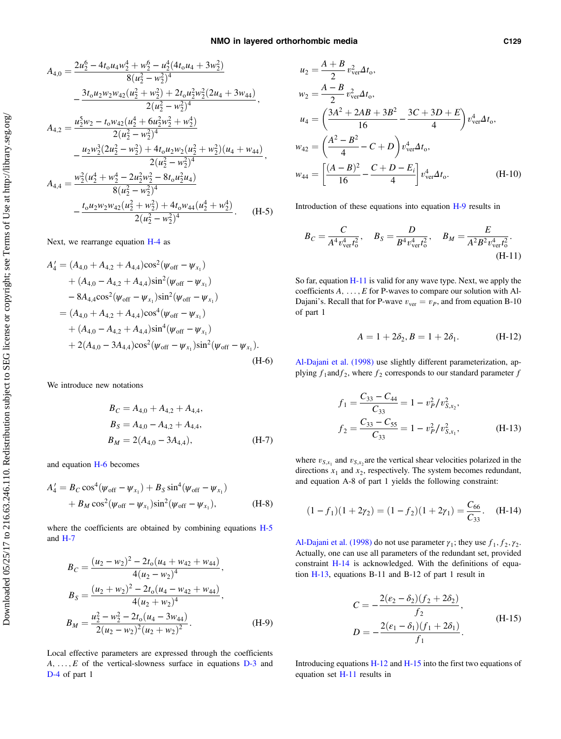<span id="page-16-0"></span>
$$
A_{4,0} = \frac{2u_2^6 - 4t_0u_4w_2^4 + w_2^6 - u_2^4(4t_0u_4 + 3w_2^2)}{8(u_2^2 - w_2^2)^4}
$$
  
\n
$$
- \frac{3t_0u_2w_2w_{42}(u_2^2 + w_2^2) + 2t_0u_2^2w_2^2(2u_4 + 3w_{44})}{2(u_2^2 - w_2^2)^4},
$$
  
\n
$$
A_{4,2} = \frac{u_2^5w_2 - t_0w_{42}(u_2^4 + 6u_2^2w_2^2 + w_2^4)}{2(u_2^2 - w_2^2)^4}
$$
  
\n
$$
- \frac{u_2w_2^3(2u_2^2 - w_2^2) + 4t_0u_2w_2(u_2^2 + w_2^2)(u_4 + w_{44})}{2(u_2^2 - w_2^2)^4},
$$
  
\n
$$
A_{4,4} = \frac{w_2^2(u_2^4 + w_2^4 - 2u_2^2w_2^2 - 8t_0u_2^2u_4)}{8(u_2^2 - w_2^2)^4}
$$
  
\n
$$
- \frac{t_0u_2w_2w_{42}(u_2^2 + w_2^2) + 4t_0w_{44}(u_2^4 + w_2^4)}{2(u_2^2 - w_2^2)^4}.
$$
 (H-5)

Next, we rearrange equation [H-4](#page-15-0) as

$$
A'_{4} = (A_{4,0} + A_{4,2} + A_{4,4})\cos^{2}(\psi_{\text{off}} - \psi_{x_{1}})
$$
  
+  $(A_{4,0} - A_{4,2} + A_{4,4})\sin^{2}(\psi_{\text{off}} - \psi_{x_{1}})$   
-  $8A_{4,4}\cos^{2}(\psi_{\text{off}} - \psi_{x_{1}})\sin^{2}(\psi_{\text{off}} - \psi_{x_{1}})$   
=  $(A_{4,0} + A_{4,2} + A_{4,4})\cos^{4}(\psi_{\text{off}} - \psi_{x_{1}})$   
+  $(A_{4,0} - A_{4,2} + A_{4,4})\sin^{4}(\psi_{\text{off}} - \psi_{x_{1}})$   
+  $2(A_{4,0} - 3A_{4,4})\cos^{2}(\psi_{\text{off}} - \psi_{x_{1}})\sin^{2}(\psi_{\text{off}} - \psi_{x_{1}}).$   
(H-6)

We introduce new notations

$$
B_C = A_{4,0} + A_{4,2} + A_{4,4},
$$
  
\n
$$
B_S = A_{4,0} - A_{4,2} + A_{4,4},
$$
  
\n
$$
B_M = 2(A_{4,0} - 3A_{4,4}),
$$
  
\n(H-7)

and equation H-6 becomes

$$
A'_{4} = B_{C} \cos^{4}(\psi_{\text{off}} - \psi_{x_{1}}) + B_{S} \sin^{4}(\psi_{\text{off}} - \psi_{x_{1}})
$$
  
+  $B_{M} \cos^{2}(\psi_{\text{off}} - \psi_{x_{1}}) \sin^{2}(\psi_{\text{off}} - \psi_{x_{1}}),$  (H-8)

where the coefficients are obtained by combining equations [H-5](#page-15-0) and H-7

$$
B_C = \frac{(u_2 - w_2)^2 - 2t_0(u_4 + w_{42} + w_{44})}{4(u_2 - w_2)^4},
$$
  
\n
$$
B_S = \frac{(u_2 + w_2)^2 - 2t_0(u_4 - w_{42} + w_{44})}{4(u_2 + w_2)^4},
$$
  
\n
$$
B_M = \frac{u_2^2 - w_2^2 - 2t_0(u_4 - 3w_{44})}{2(u_2 - w_2)^2(u_2 + w_2)^2}.
$$
 (H-9)

Local effective parameters are expressed through the coefficients  $A, \ldots, E$  of the vertical-slowness surface in equations  $D-3$  and [D-4](#page-11-0) of part 1

$$
u_2 = \frac{A+B}{2} v_{ver}^2 \Delta t_o,
$$
  
\n
$$
w_2 = \frac{A-B}{2} v_{ver}^2 \Delta t_o,
$$
  
\n
$$
u_4 = \left(\frac{3A^2 + 2AB + 3B^2}{16} - \frac{3C + 3D + E}{4}\right) v_{ver}^4 \Delta t_o,
$$
  
\n
$$
w_{42} = \left(\frac{A^2 - B^2}{4} - C + D\right) v_{ver}^4 \Delta t_o,
$$
  
\n
$$
w_{44} = \left[\frac{(A-B)^2}{16} - \frac{C + D - E_i}{4}\right] v_{ver}^4 \Delta t_o.
$$
 (H-10)

Introduction of these equations into equation H-9 results in

$$
B_C = \frac{C}{A^4 v_{\text{ver}}^4 t_0^2}, \quad B_S = \frac{D}{B^4 v_{\text{ver}}^4 t_0^2}, \quad B_M = \frac{E}{A^2 B^2 v_{\text{ver}}^4 t_0^2}.
$$
\n(H-11)

So far, equation H-11 is valid for any wave type. Next, we apply the coefficients  $A$ , ...,  $E$  for P-waves to compare our solution with Al-Dajani's. Recall that for P-wave  $v_{ver} = v_P$ , and from equation B-10 of part 1

$$
A = 1 + 2\delta_2, B = 1 + 2\delta_1.
$$
 (H-12)

[Al-Dajani et al. \(1998\)](#page-19-0) use slightly different parameterization, applying  $f_1$ and $f_2$ , where  $f_2$  corresponds to our standard parameter  $f$ 

$$
f_1 = \frac{C_{33} - C_{44}}{C_{33}} = 1 - v_P^2/v_{S,x_2}^2,
$$
  

$$
f_2 = \frac{C_{33} - C_{55}}{C_{33}} = 1 - v_P^2/v_{S,x_1}^2,
$$
 (H-13)

where  $v_{S,x_1}$  and  $v_{S,x_2}$  are the vertical shear velocities polarized in the directions  $x_1$  and  $x_2$ , respectively. The system becomes redundant, and equation A-8 of part 1 yields the following constraint:

$$
(1 - f_1)(1 + 2\gamma_2) = (1 - f_2)(1 + 2\gamma_1) = \frac{C_{66}}{C_{33}}.
$$
 (H-14)

[Al-Dajani et al. \(1998\)](#page-19-0) do not use parameter  $\gamma_1$ ; they use  $f_1, f_2, \gamma_2$ . Actually, one can use all parameters of the redundant set, provided constraint H-14 is acknowledged. With the definitions of equation H-13, equations B-11 and B-12 of part 1 result in

$$
C = -\frac{2(\epsilon_2 - \delta_2)(f_2 + 2\delta_2)}{f_2},
$$
  
\n
$$
D = -\frac{2(\epsilon_1 - \delta_1)(f_1 + 2\delta_1)}{f_1}.
$$
 (H-15)

Introducing equations H-12 and H-15 into the first two equations of equation set H-11 results in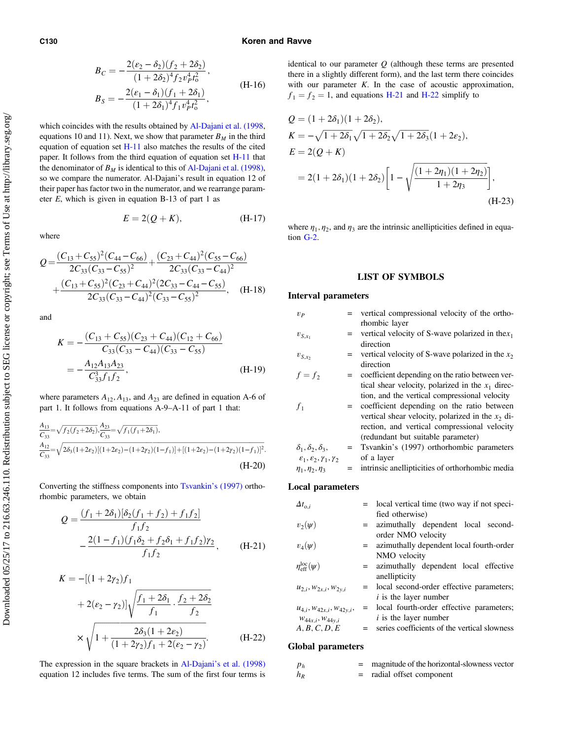#### C130 Koren and Ravve

$$
B_C = -\frac{2(\varepsilon_2 - \delta_2)(f_2 + 2\delta_2)}{(1 + 2\delta_2)^4 f_2 v_p^4 t_0^2},
$$
  
\n
$$
B_S = -\frac{2(\varepsilon_1 - \delta_1)(f_1 + 2\delta_1)}{(1 + 2\delta_1)^4 f_1 v_p^4 t_0^2},
$$
\n(H-16)

which coincides with the results obtained by [Al-Dajani et al. \(1998,](#page-19-0) equations 10 and 11). Next, we show that parameter  $B_M$  in the third equation of equation set [H-11](#page-16-0) also matches the results of the cited paper. It follows from the third equation of equation set [H-11](#page-16-0) that the denominator of  $B_M$  is identical to this of [Al-Dajani et al. \(1998\),](#page-19-0) so we compare the numerator. Al-Dajani's result in equation 12 of their paper has factor two in the numerator, and we rearrange parameter  $E$ , which is given in equation B-13 of part 1 as

$$
E = 2(Q + K), \tag{H-17}
$$

where

$$
Q = \frac{(C_{13} + C_{55})^2 (C_{44} - C_{66})}{2C_{33}(C_{33} - C_{55})^2} + \frac{(C_{23} + C_{44})^2 (C_{55} - C_{66})}{2C_{33}(C_{33} - C_{44})^2} + \frac{(C_{13} + C_{55})^2 (C_{23} + C_{44})^2 (2C_{33} - C_{44} - C_{55})}{2C_{33}(C_{33} - C_{44})^2 (C_{33} - C_{55})^2}, \quad (H-18)
$$

and

$$
K = -\frac{(C_{13} + C_{55})(C_{23} + C_{44})(C_{12} + C_{66})}{C_{33}(C_{33} - C_{44})(C_{33} - C_{55})}
$$
  
= 
$$
-\frac{A_{12}A_{13}A_{23}}{C_{33}^3 f_1 f_2},
$$
 (H-19)

where parameters  $A_{12}$ ,  $A_{13}$ , and  $A_{23}$  are defined in equation A-6 of part 1. It follows from equations A-9–A-11 of part 1 that:

$$
\frac{A_{13}}{C_{33}} = \sqrt{f_2(f_2 + 2\delta_2)} \cdot \frac{A_{23}}{C_{33}} = \sqrt{f_1(f_1 + 2\delta_1)},
$$
  
\n
$$
\frac{A_{12}}{C_{33}} = \sqrt{2\delta_3(1 + 2\varepsilon_2)[(1 + 2\varepsilon_2) - (1 + 2\gamma_2)(1 - f_1)] + [(1 + 2\varepsilon_2) - (1 + 2\gamma_2)(1 - f_1)]^2}.
$$
\n(H-20)

Converting the stiffness components into [Tsvankin](#page-19-0)'s (1997) orthorhombic parameters, we obtain

$$
Q = \frac{(f_1 + 2\delta_1)[\delta_2(f_1 + f_2) + f_1f_2]}{f_1f_2}
$$
  
 
$$
-\frac{2(1 - f_1)(f_1\delta_2 + f_2\delta_1 + f_1f_2)\gamma_2}{f_1f_2}, \quad (H-21)
$$

$$
K = -[(1 + 2\gamma_2)f_1
$$
  
+ 2(\epsilon\_2 - \gamma\_2)]\sqrt{\frac{f\_1 + 2\delta\_1}{f\_1} \cdot \frac{f\_2 + 2\delta\_2}{f\_2}}  

$$
\times \sqrt{1 + \frac{2\delta_3(1 + 2\epsilon_2)}{(1 + 2\gamma_2)f_1 + 2(\epsilon_2 - \gamma_2)}}.
$$
 (H-22)

The expression in the square brackets in Al-Dajani'[s et al. \(1998\)](#page-19-0) equation 12 includes five terms. The sum of the first four terms is identical to our parameter  $Q$  (although these terms are presented there in a slightly different form), and the last term there coincides with our parameter K. In the case of acoustic approximation,  $f_1 = f_2 = 1$ , and equations H-21 and H-22 simplify to

$$
Q = (1 + 2\delta_1)(1 + 2\delta_2),
$$
  
\n
$$
K = -\sqrt{1 + 2\delta_1}\sqrt{1 + 2\delta_2}\sqrt{1 + 2\delta_3}(1 + 2\varepsilon_2),
$$
  
\n
$$
E = 2(Q + K)
$$
  
\n
$$
= 2(1 + 2\delta_1)(1 + 2\delta_2)\left[1 - \sqrt{\frac{(1 + 2\eta_1)(1 + 2\eta_2)}{1 + 2\eta_3}}\right],
$$
  
\n(H-23)

where  $\eta_1, \eta_2$ , and  $\eta_3$  are the intrinsic anellipticities defined in equation [G-2.](#page-15-0)

## LIST OF SYMBOLS

### Interval parameters

| $v_{P}$                                            |     | vertical compressional velocity of the ortho-       |
|----------------------------------------------------|-----|-----------------------------------------------------|
|                                                    |     | rhombic layer                                       |
| $v_{S,x_1}$                                        | $=$ | vertical velocity of S-wave polarized in the $x_1$  |
|                                                    |     | direction                                           |
| $v_{S,x_2}$                                        |     | vertical velocity of S-wave polarized in the $x_2$  |
|                                                    |     | direction                                           |
| $f = f_2$                                          |     | coefficient depending on the ratio between ver-     |
|                                                    |     | tical shear velocity, polarized in the $x_1$ direc- |
|                                                    |     | tion, and the vertical compressional velocity       |
| $f_1$                                              |     | = coefficient depending on the ratio between        |
|                                                    |     | vertical shear velocity, polarized in the $x_2$ di- |
|                                                    |     | rection, and vertical compressional velocity        |
|                                                    |     | (redundant but suitable parameter)                  |
| $\delta_1, \delta_2, \delta_3,$                    | $=$ | Tsvankin's (1997) orthorhombic parameters           |
| $\mathcal{E}_1, \mathcal{E}_2, \gamma_1, \gamma_2$ |     | of a layer                                          |
| $\eta_1, \eta_2, \eta_3$                           | $=$ | intrinsic anellipticities of orthorhombic media     |
|                                                    |     |                                                     |

### Local parameters

| $\Delta t_{\mathrm{o},i}$         | = local vertical time (two way if not speci- |
|-----------------------------------|----------------------------------------------|
|                                   | fied otherwise)                              |
| $v_2(\psi)$                       | = azimuthally dependent local second-        |
|                                   | order NMO velocity                           |
| $v_4(\psi)$                       | = azimuthally dependent local fourth-order   |
|                                   | NMO velocity                                 |
| $\eta_{\rm eff}^{\rm loc} (\psi)$ | = azimuthally dependent local effective      |
|                                   | anellipticity                                |
| $u_{2,i}, w_{2x,i}, w_{2y,i}$     | = local second-order effective parameters;   |
|                                   | <i>i</i> is the layer number                 |
| $u_{4,i}, w_{42x,i}, w_{42y,i},$  | = local fourth-order effective parameters;   |
| $W_{44x,i}, W_{44y,i}$            | $i$ is the layer number                      |
| A, B, C, D, E                     | series coefficients of the vertical slowness |
|                                   |                                              |

### Global parameters

| $p_h$ | magnitude of the horizontal-slowness vector |
|-------|---------------------------------------------|
| $h_R$ | radial offset component                     |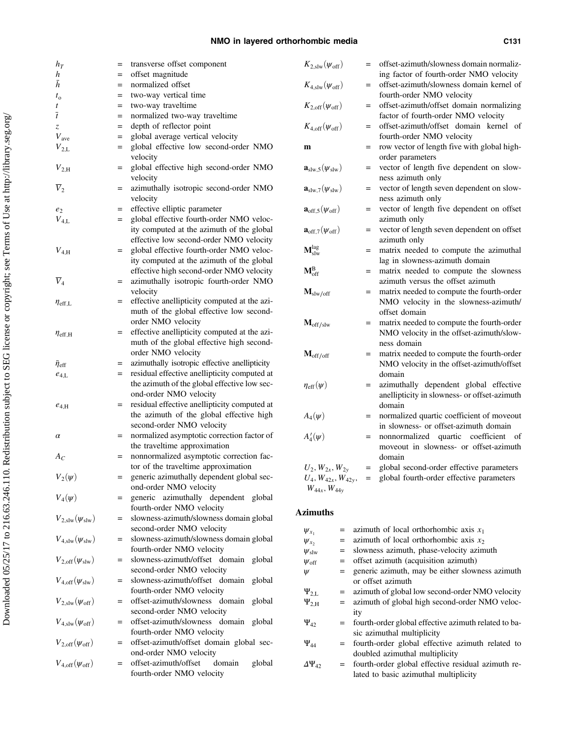### NMO in layered orthorhombic media C131

| $h_T$                                 | transverse offset component<br>$=$                                                               | $K_{\mathrm{2, slw}}(\psi_{\mathrm{off}})$     | = offset-azimuth/slowness domain normaliz-                                                        |
|---------------------------------------|--------------------------------------------------------------------------------------------------|------------------------------------------------|---------------------------------------------------------------------------------------------------|
| h                                     | offset magnitude<br>$=$                                                                          |                                                | ing factor of fourth-order NMO velocity                                                           |
| $\bar h$                              | normalized offset<br>$=$                                                                         | $K_{4, \text{slw}}(\psi_{\text{off}})$         | = offset-azimuth/slowness domain kernel of                                                        |
| $t_{\rm o}$<br>t                      | two-way vertical time<br>$=$<br>two-way traveltime<br>$=$                                        | $K_{2,\text{off}}(\psi_{\text{off}})$          | fourth-order NMO velocity<br>= offset-azimuth/offset domain normalizing                           |
| $\overline{t}$                        | normalized two-way traveltime<br>$=$                                                             |                                                | factor of fourth-order NMO velocity                                                               |
| Z                                     | depth of reflector point<br>$=$                                                                  | $K_{4,\text{off}}(\psi_{\text{off}})$          | = offset-azimuth/offset domain kernel of                                                          |
| $V_{\text{ave}}$                      | global average vertical velocity<br>$=$                                                          |                                                | fourth-order NMO velocity                                                                         |
| $V_{2,L}$                             | global effective low second-order NMO<br>$=$                                                     | $\mathbf{m}$                                   | = row vector of length five with global high-                                                     |
|                                       | velocity                                                                                         |                                                | order parameters                                                                                  |
| $V_{2,H}$                             | global effective high second-order NMO<br>$=$<br>velocity                                        | $\mathbf{a}_{\text{slw},5}(\psi_{\text{slw}})$ | = vector of length five dependent on slow-<br>ness azimuth only                                   |
| $\overline{V}_2$                      | azimuthally isotropic second-order NMO<br>$=$<br>velocity                                        | $\mathbf{a}_{\text{slw},7}(\psi_{\text{slw}})$ | vector of length seven dependent on slow-<br>$=$<br>ness azimuth only                             |
| $e_2$                                 | effective elliptic parameter<br>$=$                                                              | $\mathbf{a}_{\text{off,5}}(\psi_{\text{off}})$ | vector of length five dependent on offset<br>$=$                                                  |
| $V_{4,L}$                             | global effective fourth-order NMO veloc-<br>$=$                                                  |                                                | azimuth only                                                                                      |
|                                       | ity computed at the azimuth of the global                                                        | $\mathbf{a}_{\text{off},7}(\psi_{\text{off}})$ | = vector of length seven dependent on offset                                                      |
|                                       | effective low second-order NMO velocity<br>global effective fourth-order NMO veloc-              | $\mathbf{M}^\text{lag}_\text{slw}$             | azimuth only                                                                                      |
| $V_{\rm 4,H}$                         | $=$<br>ity computed at the azimuth of the global                                                 |                                                | matrix needed to compute the azimuthal<br>$=$<br>lag in slowness-azimuth domain                   |
|                                       | effective high second-order NMO velocity                                                         | $M_{off}^{B}$                                  | = matrix needed to compute the slowness                                                           |
| $\overline{V}_4$                      | azimuthally isotropic fourth-order NMO<br>$=$                                                    |                                                | azimuth versus the offset azimuth                                                                 |
|                                       | velocity                                                                                         | $M_{\text{slw}/\text{off}}$                    | matrix needed to compute the fourth-order<br>$=$                                                  |
| $\eta_{\rm eff,L}$                    | effective anellipticity computed at the azi-<br>$=$                                              |                                                | NMO velocity in the slowness-azimuth/                                                             |
|                                       | muth of the global effective low second-                                                         |                                                | offset domain                                                                                     |
|                                       | order NMO velocity                                                                               | $M_{\rm off/slw}$                              | matrix needed to compute the fourth-order<br>$=$                                                  |
| $\eta_{\rm eff, H}$                   | effective anellipticity computed at the azi-<br>$=$<br>muth of the global effective high second- |                                                | NMO velocity in the offset-azimuth/slow-<br>ness domain                                           |
|                                       | order NMO velocity                                                                               | $M_{off/off}$                                  | = matrix needed to compute the fourth-order                                                       |
| $\bar{\eta}_{\mathrm{eff}}$           | azimuthally isotropic effective anellipticity<br>$=$                                             |                                                | NMO velocity in the offset-azimuth/offset                                                         |
| $e_{4,\rm L}$                         | residual effective anellipticity computed at<br>$=$                                              |                                                | domain                                                                                            |
|                                       | the azimuth of the global effective low sec-                                                     | $\eta_{\rm eff}(\psi)$                         | azimuthally dependent global effective<br>$=$                                                     |
|                                       | ond-order NMO velocity                                                                           |                                                | anellipticity in slowness- or offset-azimuth                                                      |
| $e_{4,H}$                             | = residual effective anellipticity computed at                                                   |                                                | domain                                                                                            |
|                                       | the azimuth of the global effective high<br>second-order NMO velocity                            | $A_4(\psi)$                                    | normalized quartic coefficient of moveout<br>$=$<br>in slowness- or offset-azimuth domain         |
| $\alpha$                              | = normalized asymptotic correction factor of                                                     | $A'_4(\psi)$                                   | nonnormalized quartic coefficient of<br>$=$                                                       |
|                                       | the traveltime approximation                                                                     |                                                | moveout in slowness- or offset-azimuth                                                            |
| $A_C$                                 | = nonnormalized asymptotic correction fac-                                                       |                                                | domain                                                                                            |
|                                       | tor of the traveltime approximation                                                              | $U_2, W_{2x}, W_{2y}$                          | global second-order effective parameters<br>$=$                                                   |
| $V_2(\psi)$                           | generic azimuthally dependent global sec-<br>$=$                                                 | $U_4, W_{42x}, W_{42y},$                       | = global fourth-order effective parameters                                                        |
|                                       | ond-order NMO velocity                                                                           | $W_{44x}$ , $W_{44y}$                          |                                                                                                   |
| $V_4(\psi)$                           | generic azimuthally dependent global                                                             |                                                |                                                                                                   |
| $V_{2,\text{slw}}(\psi_{\text{slw}})$ | fourth-order NMO velocity<br>slowness-azimuth/slowness domain global                             | <b>Azimuths</b>                                |                                                                                                   |
|                                       | second-order NMO velocity                                                                        | =                                              | azimuth of local orthorhombic axis $x_1$                                                          |
| $V_{4,\text{slw}}(\psi_{\text{slw}})$ | slowness-azimuth/slowness domain global                                                          | $\psi_{x_1}$<br>$\psi_{x_2}$<br>$=$            | azimuth of local orthorhombic axis $x_2$                                                          |
|                                       | fourth-order NMO velocity                                                                        | $\psi_{\rm slw}$<br>=                          | slowness azimuth, phase-velocity azimuth                                                          |
| $V_{2,\text{off}}(\psi_{\text{slw}})$ | slowness-azimuth/offset domain global<br>$=$                                                     | $\psi_{\text{off}}$<br>=                       | offset azimuth (acquisition azimuth)                                                              |
|                                       | second-order NMO velocity                                                                        | Ψ<br>$=$                                       | generic azimuth, may be either slowness azimuth                                                   |
| $V_{4,\text{off}}(\psi_{\text{slw}})$ | slowness-azimuth/offset domain global<br>$=$                                                     |                                                | or offset azimuth                                                                                 |
| $V_{2,\text{slw}}(\psi_{\text{off}})$ | fourth-order NMO velocity<br>offset-azimuth/slowness domain global<br>$=$                        | $\Psi_{2,L}$<br>$=$                            | azimuth of global low second-order NMO velocity<br>azimuth of global high second-order NMO veloc- |
|                                       | second-order NMO velocity                                                                        | $\Psi_{2,H}$<br>$=$<br>ity                     |                                                                                                   |
| $V_{\rm 4, slw}(\psi_{\rm off})$      | offset-azimuth/slowness domain global<br>$=$                                                     | $\Psi_{42}$                                    | = fourth-order global effective azimuth related to ba-                                            |
|                                       | fourth-order NMO velocity                                                                        |                                                | sic azimuthal multiplicity                                                                        |
| $V_{2,\text{off}}(\psi_{\text{off}})$ | offset-azimuth/offset domain global sec-<br>$=$                                                  | $\Psi_{44}$                                    | = fourth-order global effective azimuth related to                                                |
|                                       | ond-order NMO velocity                                                                           |                                                | doubled azimuthal multiplicity                                                                    |
| $V_{4,\rm off}(\psi_{\rm off})$       | offset-azimuth/offset<br>domain<br>global<br>$=$<br>fourth-order NMO velocity                    | $\Delta\Psi_{42}$                              | = fourth-order global effective residual azimuth re-<br>lated to basic azimuthal multiplicity     |